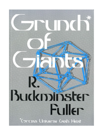# Buckminster Fuller "Conoss Universe Cash Heist

LEIDIG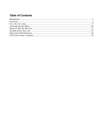# **Table of Contents**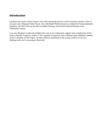# **Introduction**

I dedicate this book to three women: one of the nineteenth and two of the twentieth centuries. First, to my great aunt, Margaret Fuller Ossoli, who with Ralph Waldo Emerson co-edited the Transcendentalist magazine, the Dial, and was the first to publish Thoreau--and herself authored Woman in the Nineteenth Century.

I am sure Margaret would and probably does join in my enthusiastic support and co-dedication of this book to Marilyn Ferguson, author of The Aquarian Conspiracy, and to Barbara Marx Hubbard, founder of the Committee for the Future, for their effective inspiration to the young world to do its own thinking and to act in accordance therewith.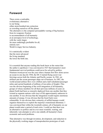## **Foreword**

There exists a realizable, evolutionary alternative to our being either atom-bombed into extinction or crowding ourselves off the planet. The alternative is the computer-persuadable veering of big business from its weaponry fixation to accommodation of all humanity at an aerospace level of technology, with the vastly larger, far more enduringly profitable for all, entirely new World Livingry Service Industry.

It is statistically evident that the more advanced the living standard, the lower the birth rate.

It is essential that anyone reading this book know at the outset that the author is apolitical. I was convinced in 1927 that humanity's most fundamental survival problems could never be solved by politics. Nineteen twentyseven was the year when a human first flew alone across an ocean in one day.(In 1944, the DC-4 started flying secret warferryings across both the Atlantic and Pacific oceans. In 1961, jet airliners put the ocean passenger ships out of business. In 1981, the world-around airlines flew over a billion and a half scheduled passenger miles and carried hundreds of millions of ton-miles of freight.) This was the obvious beginning of the swift integration of all humanity, groups of whose members for all their previous millions of years on planet Earth had been so remotely deployed from one another that they existed as separate nations with ways of life approximately unknown to one another. It was obvious that the integration would require enormous amounts of energy. It was obvious that the fossil fuels were exhaustible. It was obvious that a minority of selfish humans would organize themselves to exploit the majority's transitional dilemmas. I was convinced that within the twentieth century, all of humanity on our planet would enter a period of total crisis. I could see that there was an alternative to politics and its ever more wasteful, warring, and inherently vain attempts to solve one-sidedly all humanity's basic economic and social problems.

That alternative was through invention, development, and reduction to the physically working stages of massproduction prototypes of each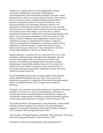member of a complete family of intercomplementary artifacts, structurally, mechanically, chemically, metallurgically, electromagnetically, and cybernetically designed to provide so much performance per each erg of energy, pound of material, and second of time invested as to make it eminently feasible and practicable to provide a sustainable standard of living for all humanity--more advanced, pleasing, and increasingly productive than any ever experienced or dreamed of by anyone in all history. It was clear that this advanced level could be entirely sustained by the many derivatives of our daily income of Sun energy. It was clear that it could be attained and maintained by artifacts that would emancipate humans from piped, wired, and metered exploitation of the many by the few. This family of artifacts leading to such comprehensive human success I identified as livingry in contradistinction to politics' weaponry. I called it technologically reforming the environment instead of trying politically to reform the people. (I explain that concept in great detail in the latter part of this book. I also elucidated it in my book Critical Path, published in 1981 by St. Martin's Press.)

Equally important, I set about fifty-five years ago (1927) to see what a penniless, unknown human individual with a dependent wife and newborn child might be able to do effectively on behalf of all humanity in realistically developing such an alternative program. Being human, I made all the mistakes there were to be made, but I learned to learn by realistic recognition of the constituent facts of the mistake-making and attempted to understand what the uncovered truths were trying to teach me.

In my Philadelphia archives there are approximately forty thousand articles published during the last sixty years which successively document my progressive completions of the whole intercomplementary family of scheduled artifacts. These livingry items include the following:

Tensegrity: The continuous-tension/discontinuous-compression structuring principle of Universe (i.e., stars not touching planets, electrons not touching their atomic nuclei) introduced to planet Earth to replace the continuously compressioned, secondarily tensioned structuring in present world-around engineering theory. Designed, 1929; prototyped, 1929.

The Dymaxion House: The autonomous, mass-producible, air-deliverable dwelling machine weighing only 3 percent of its equivolumed and equipped, conventional counterpart, single-family dwelling. Designed, 1927; modeled, 1928; helicopter-delivered, 1954.

The one-piece, 250-pound bathroom: Designed, 1928; prototyped, 1936; massproduced in polyester fiberglass in West Germany, 1970.

Synergetics: Exploration and publishing of the fourdimensional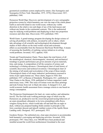geometrical coordinate system employed by nature. (See Synergetics and Synergetics II [New York: Macmillan, 1975, 1979].) Discovered, 1927; published, 1944.

Dymaxion World Map: Discovery and development of a new cartographic projection system by which humanity can view the map of the whole planet Earth as oneworld island in one-world ocean, without any visible distortion in the relative size and shape of any of the land masses and without any breaks in the continental contours. This is the undistorted map for studying world problems and displaying in their true proportion resources and other data. Discovered, 1933; published, 1943.

World Game: A grand-strategy program developing the design science of solving all problems with artifacts, invented by self or others, which take advantage of all scientific and technological development through studies of their effects on the total world's social and economic affairs as ascertainable from the Dymaxion SkyOcean World Map. A means of assessing the feasibility of realizing various initiatives in solving world problems. Invented, 1927; applied, 1928.

Trends and Transformation Charts: These depict the total history of all the metallurgical, chemical, electromagnetic, structural, and mechanical trendings to greater performance per given amounts of given materials, time, and energy. A compendium of all the scenarios of science and technology's evoluting advances. Chronological chart of total history of scientific discoveries and technical inventions. Chronological chart of the mining of all metals and recirculation of the scrap of those metals. Chronological charts of all major industries' performances assessed in terms of per capita human use. These charts, begun in 1928; first published, 1937, at Bureau of Standards, Washington, D.C.; published in Nine Chains to the Moon, 1938; published in Fortune magazine's tenth anniversary issue, 1940. This issue of Fortune went into three printings and took Fortune from red- to black-ink status. It changed U.S.A. and world economic health assessment from a tonnage criteria to one based on energy consumption.

The Dymaxion Omnitransport (for land, air, water-surface, and submarine travel): The first full-scale working prototype stage of which was the Dymaxion car, produced to test the crosswind ground-taxiing behaviors of an omni-streamlined, ultimately to be twin-orientablejet-stilts-flown, wingless flying device, which would take off and land like an eagle or duck, without any prepared landing fields (similar in principle to the forty-yearslater descent and takeoff, multijet system of the Apollo Moon Landing craft). Designed, 1927; prototyped, 1933.

Geodesic Domes: The unlimited-size, clear-span structures to accommodate both humanity's converging and deploying activities. Invented, 1938; prototyped, 1947. Since then, over 300,000 have been produced and installed around the world from northernmost Greenland to the exact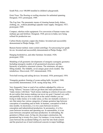South Pole; over 100,000 installed in children's playgrounds.

Octet Truss: The flooring or roofing structure for unlimited spanning. Designed, 1933; prototyped, 1949.

The Fog Gun: The pneumatic means of cleaning human body, dishes, clothing, etc., without plumbing's pipedin water supply. Designed, 1927; prototyped, 1949.

Compact, odorless toilet equipment: For conversion of human wastes into methane gas and fertilizer. Designed, 1928; proven in India; now being refined for production use.

Carbon blocks-inserted, copper disc-brakes: Invented and successfully demonstrated at Phelps Dodge, 1937.

Bunsen-burner-melted, water-cooled centrifuge: For processing low-grade tin ore. Invented and successfully demonstrated at Phelps Dodge, 1937.

Hanging bookshelves, and other furniture: Invented, 1928; prototyped, 1930.

Modeling of all geometric developments of energetic-synergetic geometry: Including tensegrity models of all geometrical structures and the hierarchy of primitive structural systems. The minimum, all-spacefilling module. The foldable, seven unique great-circle models. The tetrahelixes. Discovered, 1927; demonstrated, 1936.

Twin-hull rowing and sailing devices: Invented, 1938; prototyped, 1954.

Triangular geodesic framing of ocean-sailing hulls: Invented, 1948; successfully demonstrated, I.O.R. racing sloop Imp, 1979.

Very frequently I hear or read of my artifacts adjudged by critics as being "failures," because I did not get them into mass-production and "make money with them." Such money-making-as-criteria-of-success critics do not realize that money-making was never my goal. I learned very early and painfully that you have to decide at the outset whether you are trying to make money or to make sense, as they are mutually exclusive. I saw that nature has various categories of unique gestation lags between conception of something and its birth. In humans, conception to birth is nine months. In electronics, it is two years between inventive conception and industrialized production. In aeronautics, it is five years between invention and operating use. In automobiles, it is ten years between conception and mass-production. In railroading, the gestation is fifteen years. In big-city skyscraper construction, the gestational lag is twenty-five years. For instance, it was twenty-five years between the accidental falling of a steel bar into fresh cement and the practical use of steel-reinforced concrete in major buildings.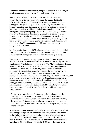Dependent on the size and situation, the period of gestation in the singlefamily residences varies between fifty and seventy-five years.

Because of these lags, the earlier I could introduce the conception model, the earlier its birth could take place. I assumed that the birth into everyday life of the livingry artifacts whose working conceptual prototypes I was producing would be governed by those respectivecategory gestation lags. I assumed my livingry inventions' progressive adoptions by society would occur only in emergencies. I called this "emergence through emergency." For all of humanity to begin to break away from its conditioned reflexes regarding living facilities (home customs and styles), allowing them to be advantaged by my livingry artifacts, would take at minimum a half century to get underway. Since this was clearly a half-to-three-quartersof-a-century undertaking, I saw at the outset that I best not attempt it if I was not content to go along with nature's laws.

My first publication was in 1927, a bound, mimeographed book entitled 4-D, standing for "fourth dimension." I put on the cover, "Two billion new homes will be required by humanity in the next eighty years."

Five years after I undertook the program in 1927, Fortune magazine in July 1932 featured my Dymaxion House in an article written by Archibald MacLeish on "The Industry Industry Missed: The Mass-Production Housing Industry." They were not aware of the complexity of the development. They had not discovered the different gestation rates of industrial evolution's diverse product categories. Fortune described clearly what had happened, but Fortune's writers were completely unschooled in dealing with that which had not yet happened. My 1927 Dymaxion House had excited many into trying to make money by being the first in the massproduction house industry, not knowing it would take a completely new prototype and a half-century before across-the-board evolution was ready for it. A group of prominent industrialists led by one of my young fans had incorporated "General Houses," and that was all it took to get Fortune excited.

- Thirteen years later, in 1945, Fortune again featured my scientific dwelling--the Fuller House prototype--only one of which I had produced, for the United States Air Force in Beech Aircraft's Wichita, Kansas, plant. Fortune and many others were sure that this was to be an immediate mass-production success and, more importantly to them, a "money-maker."

After Beech's production-engineering department had carefully analyzed the prototype and priced out its tooling costs, they tendered a firm bid to the Fuller House Company to produce replicas of this prototype in quantities of no less than 20,000 per year, at a base, f.o.b. Wichita factory price of \$1,800, minus the kitchen and laundry equipment, to be furnished by General Electric for another \$400 each. But Beech's bid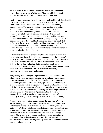required that \$10 million for tooling would have to be provided by others. Beech already had Wichita banks' backing of \$10 million for their post-World War II private corporate plane production.

The first Beech-produced Fuller House was widely publicized. Soon 36,000 unsolicited orders, many with checks attached, were received for the Fuller House. At this point it was discovered that no distributing industry existed. The general building contractors had none of the complex tools for several-in-one-day deliveries of the dwelling machines. None of the building codes would permit their erection. The severest blow of all was that both the national electricians and plumber's organizations said they would have to be paid to take apart all the prefabricated and pre-installed wiring and plumbing, and put it together again, else they would not connect the otherwise "ready to live in" house to the town's or city's electrical lines and water mains. They held exclusively the official license to do this by long-time politically enacted laws. No banks were willing to provide mortgages to cover the sale of the Fuller Houses.

Fortune made the mistake of assuming that "the industry industry missed" had at last come of age. But evolution's inauguration of the "livingry" industry had to wait until capitalism had graduated, from its for-centuriesheld assumption that physical land property constituted capitalism itself, to the startling realization that the strictly metaphysical, technological "know-how" had become the most profitable property as the key to exploitation of the invisible industries of chemistry, metallurgy, electromagnetics, and atomics.

Reorganizing all its strategies, capitalism has now unloaded its real estate property onto the people by refusing to rent and forcing people to buy their condo or coop homes. Evolution had to wait upon the governmentguaranteed, forty-year mortgage-financing of housing's costs to exceed humans' financial capability to acquire. Evolution had to wait until the U.S. mass-production of automobiles exclusively as a moneymaking business had been made obsolete by the technological felicity of manufacturing by other countries' producers, thus leaving U.S. productivity to reorient itself to the necessity of rehousing all humanity in mass-produced, aerospace-level-of-technology livingry.

Evolution was clearly intent on postponing the inception of the livingry service industry until humanity had graduated from its pre-twentieth century condition as a planet of remote nations to an integrated global society, all of which waited upon completion of a world-around network of highways, airlines, and telephones, and automobiles and jumbo jet airplanes. All these evolutionary events (requisite to the livingry industry) have now taken place or are about to take place in the very near future. If the political systems do not eliminate humanity with their weapons, the half-century-gestating, world-around livingry serviceindustry will soon be born.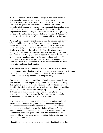When the leader of a chain of hand-holding skaters suddenly turns in a tight circle, he sweeps the entire chain into a circle-describing pattern, with each successive skater circling at a greater radius from him. Since the greater the radius the 3.14159 times greater the circumferential distance to be traveled, the accumulated momentum of the chain imparts ever greater acceleration to the hintermost of the original chain, which centrifugal force in turn breaks the hand-gripping and causes the hintermost individual skaters to successively break away at great speed. This fast spin-off they must cope with as best they may.

When a physics teacher wishes to demonstrate the fundamentals of wave behavior to his class, he often fixes a secure hook onto the wall and fastens the end of, for example, a ten-foot-long piece of rope to the hook. Then, going to the other end of the rope, he pulls it not quite tightly, leaving just a little slack in it. He then whips the rope end ceilingward, then floorward, followed by a final jerk ceilingward. This whips a wave into the rope. This wave goes all the way to the wall hook where it turns around and returns to the teacher's hand and stops. This demonstrates that a wave always closes back to its starting point to complete a cycle. If the teacher leaves more slack in the rope, the wave has greater height and depth lengths.

In the first million years of humans on planet Earth, we have the phase one ice-skater's spin-off pattern deploying humans to unknown, remote-from-oneanother lands. In the twentieth century, we have the phase two physics teacher's wave returning upon itself to complete its cycle.

First we have the phase one, world-around deployment of humanity on foot, animals, and rafts. In phase two, we have the world-around sailing ship explorers, then the royal mail steamships, followed successively by the cable, the wireless telegraphy, the telephone, the airlines, the satelliterelayed, around-the-world wireless telephony, and the world-around skybuses: all of which, unnoticed by political society, have been inexorably, completely integrating the five-centuries-earlier, utterly remotely existing, unknown-to-one-another nations.

As a scientist I am greatly interested in all that goes on in the politicaleconomic scene and in the impact of one unforeseen technological evolutionary event after another upon that scene. I see one minuscule computer chip completely altering the whole world scene. As the halfcentury of utterly unpredicted technological discoveries has occurred, accompanied by an ever greater familiarity with all the world by all humanity, I have become increasingly confident that my fifty-four-yearsago judgments were sound.

I do not look upon human beings as good or bad. I don't think of my feet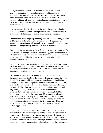as a right foot and a wrong foot. My feet are exactly the inside-out reverse of each other in physical patterning (pull the rubber glove off one hand, insideouting it, and find it fits the other hand). Physics has found no straight lines--only waves. All courses are steered by alternate right and left veering. I see the human scene in the same way. There have to be humans to perform all the right-left evolutionary interfunctionings.

I am a student of the effectiveness of the technological evolution in its all unexpected alterations of the preoccupations of humanity and in its all unexpected alterings of human behaviors and prospects.

I do know that technologically humanity now has the opportunity, for the first time in its history, to operate our planet in such a manner as to support and accommodate all humanity at a substantially more advanced standard of living than any humans have ever experienced.

This is possible not because we have found more physical resources. We have always had enough resources. What has happened that now makes the difference is that we have vastly increased our know-how of specialized innovations, all of which invisible realization integrates to make possible success for all.

I also know that this can be realized only by a technological revolution involving total Spaceship Earth, using all the resources and know-how as an integrated regenerative system, as in the design of any successful seagoing ship or of any biological organism.

Spaceship Earth now has 150 admirals. The five admirals in the staterooms immediately above the ship's fuel tanks claim that they own the oil. The admirals with staterooms surrounding the ship's kitchen, dining rooms, and food refrigerators claim they own all the food. Those with a stateroom next to a lifeboat claim that they own the lifeboat, and so forth. They then have an onboard game called balance of trade. Very shortly the majority of admirals have a deficit balance. All the while the starboard-side admirals are secretly planning to list the boat to port far enough to drown the portside admirals, while the portside admirals are secretly trying to list the boat to starboard far enough to drown the starboard-side admirals. Nobody is paying any attention to operating the ship or steering it to some port. They run out of food and fuel. They discover that they can no longer reach a port of supply. Finis.

Humanity is now experiencing history's most difficult evolutionary transformation. We are moving away from a rooted life-style with a 95 percent rate of illiteracy. We are almost unconsciously drifting away from self-identity with our ages-long, physically-remote-from-oneanother existence as 150 separate, sovereign nations. Now the uprooted humans of all nations are spontaneously deploying into their physically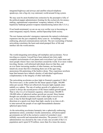integrated highways and airways and satellite-relayed telephone speakways, into a big-city way-stationed, world-around living system.

We may soon be atom-bombed into extinction by the preemptive folly of the political puppet administrators fronting for the exclusively-for-moneymaking, supranational corporations' weaponry industry of the now hopelessly bankrupt greatest-weapons-manufacturing nation (the U.S.A.).

If not bomb-terminated, we are on our ever swifter way to becoming an omni-integrated, majorly literate, unified Spaceship Earth society.

The new human networks' emergence represents the natural evolutionary expansion into the just completed, thirty-years-in - its-buildings worldembracing, physical communications network. The new reorienting of human networking constitutes the heart-and-mind-pumped flow of life and intellect into the world arteries.

The world-integrating networking self-multiplies and accelerates. Never traveling as a tourist, I myself have been induced into forty-eight complete encirclements of our planet and everywhere I go I meet more and more people whom I have met elsewhere around the world. Ever more widely traveling, literate, well-informed individuals discover that they, and an ever faster increasing number of other humans, are becoming intuitively aware that life is breaking them out of the ages-long, anonymous life-patterning of the beehive drone. They experience newborn hope that humans have indeed a destiny of individual significance complementary to the integrity of other individuals.

The networking accelerates as does light in Einstein's equation E=Mc2. The lower-case c is the symbol for the linear speed of light, 186,000 miles per second. When not reflectively focused, light expands omniradially as a sphere. The rate of surface growth of a spherical wave system is always the second power of the linear (radial) growth speed. That is why it is c2 in Einstein's equation, which means 186,000 X 186,000 miles of spherical surface growth per second. Since human thought can calculate in minutes what it takes light to travel in one year, it may be that thought itself expands outwardly in all directions at a speed even faster than light--maybe in no time at all- to inter-network the people of our eight-thousandmile diameter spherical space home.

As the networking accelerates humanity into a spherically embracing, spontaneous union, yesterday's locally autonomous, self-preoccupied governments are left in the exclusive control of yesterday's most selfishly successful and entrenched minorities. The present U.S.A. 1982 administration was elected by the votes of only one-seventh of the U.S. population and it spent \$170 million--more than five times the money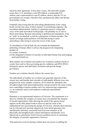raised by their opponents--to buy their victory. The networks' people, aware that a U.S. presidency costs \$50 million, a senatorship \$10 million, and a representative's seat \$5 million, observe that the TV era governments are corrupt, wherefore they spontaneously abhor and abstain from further voting.

Gradually discovering that the networking abandonment of the voting booth was the true cause of their claimed "overwhelming majority," the incumbent administration, fearful of a potential rejective voting tidal wave of the inter-networked world people, will probably try in vain to block networking. Because networking is apolitical and amorphous, it has no "cells" to be attacked, as did the communism of former decades. The fearful sovereign nation politicos will find that trying to arrest networking is like trying to arrest the waves of the ocean.

As elucidated in Critical Path, the net resultant developmental patterning of human affairs is always the progressively integrating product of:

- (1) cosmic evolution;
- (2) the integrated evolution of myriads of individual human fear-and-longing motivated initiatives.

Both number one evolution and number two evolution conform strictly to cosmic laws such as those governing gravity, radiation, and DNA-RNA's biological, species and individual, formation-and-growth design governance.

Number one evolution directly follows the cosmic laws.

The individuals of number two evolution are generally unaware of the cosmic laws and bumble their myriads of individually different ways into progressively more complex scenarios, all of which are ultimately and all-unknowingly both intercomplementary and governed by the same cosmic laws controlling evolution number one's two interweaving components, i.e. its certainties and its trial-anderror-conducted experimental initiatives.

Humanity is an experimental initiative of Universe. The experiment is to discover whether the complex of cosmic laws can maintain the integrity of eternal regeneration while allowing the mind of the species homo sapiens on the little planet Earth to discover and use some of the mathematical laws governing the design of Universe, whereby those humans can by trial and error develop subjectively from initial ignorance into satisfactorily informed, successful local-Universe monitors of all physically and metaphysically critical information and thereby serve objectively as satisfactory local-Universe problem-solvers in sustaining the integrity of eternally regenerative Universe.

Trial-and-error-evolved steering wisdom does not accrue to shifting the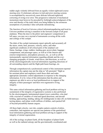rudder angle violently leftward from an equally violent rightward-coursesteering error. Evolutionary advance in trial-and-error steering systems is accomplished by successively more delicate leftward-rightward correcting of swing-over error. This progressive reduction of mechanical momentum must however be preceded by forthright acknowledgment of the error and thereby of the truth which was being hidden by the erroneous assumptions of yesterday's false self-pride rationalizing.

The function of local-in-Universe critical informationgathering and local-in-Universe problem-solving is manifest in the forward cockpit of all great airplanes. When the door to the pilots' and engineers' compartment is left open, you may see a myriad of instruments covering all the walls and ceilings of the cockpit.

The dials of the cockpit instruments report optically and accurately all the stress, strain, heat, pressure, velocity, ratios, and other significant conditions of all critical parts of the airplane's airframe, fuselage, wings, rudders, landing gear, power plant, baggage compartment, and passenger space, as well as of the interior and exterior temperatures, atmospheric pressure, etc., as well as all the instrumentally reported information regarding altitude and the everchanging geography of clouds, wind forces, and directions, as well as all the electromagnetically received information regarding directions of all surrounding airports and the flight path beam bearings, etc.

Through comprehensively synchronized control of this instrument-reported information the captain may put the ship on "all automatic" flight as his assistant pilots and engineers watch those dials and make appropriate automatic control adjustments in response to the changing information. It is by virtue of this information that the pilots and engineers are able to serve as local problemsolvers in support of the integrity of their passengers' and their own regenerative living integrity.

This same critical information-gathering and local problem-solving in sustainment of the integrity of regenerative systems is also performed by the electromagnetic instrumented airport tower controllers, who deal with a myriad of variables of wind and speed directions, and aircraft holding, approaching, landing, taking off, holdingready-to-take-off, on-field-runwaystaxiing planes, each plane worth millions of dollars, each packed full of beyond priceability human cargoes.

All these high-velocity, vast risk, complex pattern controls of pilots, controllers, and engineers are special-case patterns of the generalized local information-gathering and local problem-solving in support of the integrity of eternal regeneration.

All of the ecology on planet Earth, all the biosphere of planet Earth as well as the radiated entropy and the gravitationally coordinated-and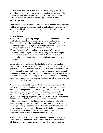cohered sentry of the solar system and the Milky Way galaxy and the two billion other known galaxies are all special-case manifests of the local-in-Universe information-gathering and problemsolving in support of the synergetic integrity of overlappingly episoded, eternal scenario Universe.

The function of local-Universe information-gathering and local-Universe problem-solving is a generalized problem-and-solution complex, the solution of which is mathematically expressed as the updated Einstein equation  $E = 2Mc2$ .

Recognizing that:

- (I) this information-gathering and problem-solving function of humans on little, local planet Earth is a cosmically generalized function;
- (2) our experiencing of the coordinate integrity of nature's pattern of initiating the growth of myriads of ecologically intercomplementary biological species is scientifically sorted out; and
- (3) nature's method of trial-and-error evolvement of the successive biological types prospering most successfully under each unique evolutionarily progressive environmental change demonstrates that preferredenvironment technology eliminates survival only of the fittest;

we come to the full realization that the failures of humans on planet Earth to fulfill satisfactorily and faithfully their generalized informationgathering and local problemsolving in support of eternal regeneration of Universe simply means death of this particular planetary installation of mind-endowed individuals. The failure of humans means the function must be performed in local-Universe by other phenomena capable of reliably serving the informationagglomerating and problem-solving function. The eternal Universe show must go on.

When individuals shunt the comprehensive cosmic regeneration into exclusive advantaging of only their own survival and enjoyment and succeed in prolonged local short-circuiting of cosmic regenerativity, they disqualify the invention "human" as a reliable function of regenerative Universe. They are just as irresponsible in the cosmic system as the company employees who pocket the cash register contents for their own account. This is cosmically true of a childless multimillionaire maneuvering himself into a position to make a big profit involving "hardheaded," absolutely selfish decisions that will knowingly and legally deprive many others of survival necessities-- "to hell with the next generation"--which deal will win him the applause of other powerfully rich individuals because it makes them feel more comfortable about their own summa cum selfishness.

If you ignorantly believe there's not enough life support available on planet Earth for all humanity, then survival only of the fittest seems self-flatteringly to warrant magnaselfishness. However, it is due only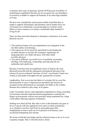to humans' born state of ignorance and the 99.99 percent invisibility of technological capabilities that they do not recognize the vast abundance of resources available to support all humanity at an omni-high standard of living.

We have now scientifically and incontrovertibly found that there is ample to support all humanity. But humanity and its leaders have not yet learned so in sufficiently convincing degree to reorient world affairs in such a manner as to realize a sustainable high standard of living for all.

There are three powerful obstacles to humanity's realization of its omniphysical success:

- 1. The technical means of its accomplishment exist altogether in the invisible realms of technology.
- 2. The experts are all too narrowly specialized in developing the invisible advance to envision the synergetic significance of integrating their own field's advances with other fields' invisible advances.
- 3. The utterly different, successful ways of metabolic accounting, dwelling, self-employing, cooperating, and enjoying life are unfamiliar and nonobvious.

Because of ancient arms-accomplished seizure of land by the most physically powerful and the subsequent armsinduced blessing of the seizures by power-ordained "ministers of God," royal deeds to land were written as assumedly God-approved and -guaranteed covenants.

Landlordism, first woven into the fabric of everyday life by royal fiat and thousands of years of legal process precedent, has become an accepted cosmic phenomenon as seemingly inevitable as the weather. Humans have learned to play many of its games.

Land "ownership" and its omni-dependent comprehensive thing-ownership involvements and their legal-documents-perpetuations constitute the largest socioeconomic custom error presently being maintained by a large world affairs-affecting segment of humanity.

Nothing new about all that. But what is new is that humanity has gone as far as it can go with this significant error and is in final examination as to whether it can free itself from its misconditioned reflex straightjacket in time to pull out of its greatest-in-all-history, erroroccasioned tailspinning into eternity.

We do have both the knowledge and the technical means to do so if we do it quickly enough. That is what this book is about.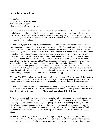# **Fee x fie x fo x fum**

Fee-fie-fo-fum I smell the blood of a Britishman Be he alive or be he dead I'll grind his bones To make my bread.

There is no dictionary word for an army of invisible giants, one thousand miles tall, with their arms interlinked, girding the planet Earth. Since there exists just such an invisible, abstract, legal-contrivance army of giants, we have invented the word GRUNCH as the group designation--"a grunch of giants." GR-UN-C-H, which stands for annual GROSS UNIVERSE CASH HEIST, pays annual dividends of over one trillion U.S. dollars.

GRUNCH is engaged in the only-by-instrumentsreached-and-operated, entirely invisible chemical, metallurgical, electronic, and cybernetic realms of reality. GRUNCH's giants average thirty-four years of age, most having grown out of what Eisenhower called the postWorld War II "military-industrial complex." They are not the same as the pre-World War II international copper or tin cartels. The grunch of giants consists of the corporately interlocked owners of a vast invisible empire, which includes airwaves and satellites; plus a vast visible empire, which includes all the only eighteen-year-old and younger skyscraper cluster cities around the world, as well as the factories and research laboratories remotely ringing the old cities and all the Oriental industrial deployment, such as in Taiwan, South Korea, Malaysia, Hong Kong, and Singapore. It controls the financial credit system of the noncommunist world together with all the financial means of initiating any world-magnitude massproduction and -distribution ventures. By making pregraduation employment contracts with almost all promising university science students, it monopolizes all the special theoretical know-how to exploit its vast inventory of already acquired invisible know-how technology.

Who runs GRUNCH? Nobody knows. It controls all the world's banks. Even the muted Swiss banks. It does what its lawyers tell it to. It maintains technical legality, and is prepared to prove it. Its law firm is named Machiavelli, Machiavelli, Atoms & Oil. Some think the second Mach is a cover for Mafia.

GRUNCH didn't invent Universe. It didn't invent anything. It monopolizes know-where and know-how but is devoid of know-why. It is preoccupied with absolute selfishness and its guaranteed gratifications. It is as blind as its Swiss banks are mute. Much, much more about GRUNCH later on.

When blimp photographs are taken of giant stadia packed full of rock-concert or football fans, we get an idea of what 100,000 people look like. We all think of Hiroshima as the worst single killing of humans by humans. That was about a 75,000-capacity-coliseum-full. Each day of each year, year after year, a 75,000-capacity-stadiumfull of around-the-world humans perish from starvation or its side effects, despite an annual average 5-percent world food-production overage of the amount of food adequate for the total world's population. This daily kill of innocents dwarfs the awful Auschwitz killing.

GRUNCH did not bring this about, but it could very profitably bring it to an end. Just because it is possible does not mean that it is easy. With the computers' guidance, however, and some executive vision, courage, initiative, and follow-through, it can be done very profitably in terms of money and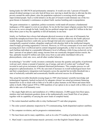lasting kudos for GRUNCH and prohumanity enterprise. It would cost only 3 percent of Grunch's annual dividend earnings to not only feed all those now starving to death but also to alleviate the dire poverty around the entire planet, since the population explosion is occurring strictly amongst impoverished people. Such a world initiative on the part of Grunch would eliminate one of the two great threats to humanity's continuance on planet Earth: nuclear bombing and overpopulation.

The great communism vs. capitalism, politico-economic world stand-off assumes a fundamental inadequacy of life support to exist on our planet. So too do the four major religions assume that it must be you or us, never enough for both. Jointly the two political camps have spent \$6.5 trillion in the last thirty-three years to buy the capability to kill all humanity in one hour.

Jointly, we Earthians have always had adequate physical resources to take care of all humanity but lacked the metaphysical know-how resources with which to employ effectively the Earth's physical wealth. Adequate knowhow could only accrue through trial-and-error experience combined with synergetically acquired wisdom, altogether employed with absolute faith in the intellectual integrity omni-lovingly governing regenerative Universe. However, in 1970 our cornucopia of ever more swiftly accruing know-how overflowed and its content integrated synergetically, so that we may now care for each Earthian individual at a sustainable billionaire's level of affluence while living exclusively on less than 1 percent of our planet's daily energy income from our cosmically designed nuclear reactor, the Sun, optimally located 92 million safe miles away from us and safely interlinked with us by photosynthesis, wind, rain, wave, and all other weather behaviors.

In technology's "invisible" world, inventors continually increase the quantity and quality of performed work per each volume or pound of material, erg of energy, and unit of worker and "overhead" time invested in each given increment of attained functional performance. This complex process we call progressive ephemeralization. In 1970, the sum total of increases in overall technological know-how and their comprehensive integration took humanity across the epochal but invisible threshold into a state of technically realizable and economically feasible universal success for all humanity.

This actual but invisible threshold crossing began in 1969 when humans' scientific knowledge and technological ingenuity, backed exclusively by adequate citizens' tax-raised government financing, learned how to do so much with so little as to be able to place humans on the Moon and return them safely to Earth. Other typical 1970 to 1980 manifests of our option to do so much with so little as to be able to take care of all humanity were:

1. The single-flight delivery and installation of a 140foot-diameter, 23,000-square-foot-floor-space, stainless steel and aluminum geodesic dome at the mathematically exact South Pole of our planet, together with its capability of carrying the snow loads of complete burial;

2. The rocket-launched satellites able to relay Eartharound TV and other programs;

3. The solar system's planetary inspection by TV-communicating, Earth-dispatched explorer satellites;

- 4. The computer revolution, and its progressive miniaturization;
- 5. The laser-beam and its many capabilities, such as its color-TV-reading of polished disc records;
- 6 . MacCready' s successful human-muscle- powered, over-the-English-Channel flight; and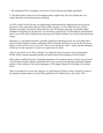7. His subsequent Paris-to-England, exclusively by direct-Sun-powered flight; and finally,

8. That MacCready's ninety-five-foot-wingspan plane weighed only forty-five pounds due to its carbon-fiberalloy structuring and mylar skinning.

In 1970 it could, for the first time, be engineeringly demonstrated that, applying the most advanced knowhow to the conservation and use of the world's resources, we can, within ten years of fromkillingry-to-livingry reoriented world production, have all humanity enjoying a sustainably higher standard of living than any humans have ever heretofore experienced. It could further be demonstrated that we can do this while simultaneously phasing out all further Earthians' use of fossil fuels and atomic energy.

Humanity is so specialized and these epochally significant technological facts are so invisible that it seems an almost hopeless matter to adequately inform humanity that from now on, for the first time in history, it does not have to be "you or me"--there is now enough for "both" --and to convince humanity of this fact in time to permit it to exercise its option and save itself.

There is now plenty for all. War is obsolete. It is imperative that we get the word to all humanity-- RUSH--before someone ignorantly pushes the button that provokes pushing of all the buttons.

What makes so difficult the task of informing humanity of its newborn option to realize success for all is the fact that all major religions and politics thrive only on the for-all-ages-held, ignorantly adopted premise of the existence of an eternal inadequacy of life-support inherent in the design of our planet Earth.

That it is possible for us all to win--and how--is what Grunch of Giants is about. (Grunch of Giants is an intimately related sequel to Critical Path, published by St. Martin's Press, New York, 1981.)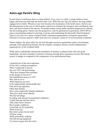# **Astro-age David's Sling**

In each herd of wild horses there is a king stallion. Every once in a while a young stallion is born bigger and more powerful than the herd's other colts. When the new big colt matures, the king stallion engages him in battle. Whichever one wins becomes the inseminator of the herd's mares. Darwin saw this phenomenon as the way in which nature contrives to maintain the strongest, best coordinated, most alert, and fastest strains in the species. Twentieth-century racing stable operators progressively inbreed the fast-running genes. Nature uses this progressive, only-by-generation-to-generation, (DNA-RNA) genes-concentrating method in selecting, evolving, and maintaining the physically fittest biological types to serve the vast variety of planet Earth's omniintercomplementary ecological regeneration functions to become operative under each and every uniquely variant set of environmental conditions.

Nature employs the same solely-by-survival-through-successive-generations, genes-concentrating principle when introducing humans into the complex ecological scheme of intercomplementary regenerativity of life on planet Earth.

While nature undoubtedly initiated the installation of humans on planet Earth with semi-giant leaderships, she had eventually to disclose to humans through direct experience lessons that human muscle is naught as compared to the competence of the mind-directed brain.

I acquired one of the most important Of my life's working assumptions When I undertook to answer My own 1927 self-questioning: "Why have humans been included In the design of Universe?" My hypothetical answer of 1927 Was, and as yet is: What impresses me most Is the experientially demonstrable fact That all living organisms Other than humans Have some organically integral equipment That gives them some inherent Physical advantage In coping with special environmental conditions-- A plant that can and does thrive Only under dense Amazon River jungle conditions-- A bird that can fly beautifully While in the sky But which cannot divest itself Of those wings While awkwardly walking-- The fish having equipment To extract oxygen from the water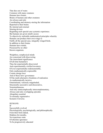That dies out of water. Common with many creatures Humans have brains. Brains of humans and other creatures Are always and only Coordinating and memory-storing the information Reported to their brains By internal and external Sensing devices Regarding each special-case systemic experience. But humans are given mind's access To objectively realizable mathematical principles whereby Humans can produce their own wings to Outfly all the special-case, integrally winged birds. In addition to their brains Humans have minds, Possessed by no other Known organism.

Weightless, nonphysical minds Are concerned with discovering The interrelated significance Of all-time humanity's Thus-far-experientially-discovered And experimentally-verified inventory Of ever-experientially-redemonstrable, Only-mathematically-expressible Cosmic design laws And of those laws' governance Of the multi-alternative freedoms of realization As mathematically incisive, Omnirational, variously magnituded, Structurally associative and dissociative, Nonsimultaneous, And only omnicomplexedly intercomplementary, Always and only overlapping episodes Altogether essential To eternally regenerative Scenario Universe.

### HUMANS:

### IF

Successfully evolved Physiologically, psychologically, and philosophically From their born-naked, Helpless-for-months, No-experience state Of absolute ignorance To be progressively educated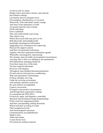As driven only by innate Hunger, thirst, procreative instinct, and curiosity Into initiative-takings Can thereby discover frequent errors Of assumption, identification, or execution Wherewith, if the individual's innate courage And sense of the importance of truth Are greater than the sense of pride Of the individual, Error is admitted Thus only inadvertently uncovering That which is true Which discovered truth may prove to be Both physically and metaphysically Inspiringly advantageous information Suggesting ways of progressively improving Physical life-support systems And their environmental realizations Together with their operational information agenda Whereafter, encouraged by experiencing The ensuing, more favorable environmental circumstances Accruing only to their ever abiding by the spontaneous Self-admonitions springing intuitively From their innate love of the truth, The thus-inspired individuals Persevere with integrity Throughout some hundred thousand generations Of such only-by-trial-and-error conditioning With each generation's intermatings Of those mutually surviving Under the evolving environment And mutually educated exclusively By such artifacts-accomplished, Creative conversions Of negative into positive circumstances And through those regenerative matings To concentrate the DNA-RNA, Exclusively angle- and frequency-controlled, Structural and mechanical design programmings Of the creatively imagining faculties And their corresponding crafting dexterities Which with their inventing of words Their metaphysical tools And electromagnetic-spectrum Communications accomplishments Might in time Attain and sustain A semi-divine level Of exclusively artifacts-realized,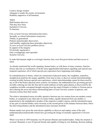Creative design wisdom Adequate to render the cosmic environment Healthily supportive of all humanity

**THEN** Shall humans discover That they have been Included in Universe To function:

First, as local Universe information-harvesters; Secondly, as critical information-winnowers; Thirdly, as generalized Patterns-and-principles discoverers; And fourthly, employing those principles objectively To serve as local Universe problem-solvers In support of the integrity Of eternally regenerative, Only overlappingly inter-episoded Scenario Universe.

In order that humans might so evolvingly function, they were first given brains and then access to mind.

As already mentioned but worth repeating, human brains, as with those of many creatures, function always and only as coordinators of all the sense-apprehended information regarding each special-case temporal experience, all of which special-case experiences have beginnings and endings.

In contradistinction to brains, which are constructed of physical matter, the weightless, matterless, metaphysical mind has the unique capability, from time to time, to discover eternal interrelationships existing invisibly between special-case experiences, which interrelationships cannot be discovered by any or all of the brain's physical sense systems--for instance, the mathematical law governing gravity's invisibly cohering not only the Sun and its multi-millions-of-miles-apart planets as discovered by the weightless invisible conceptual thought-relaying from the mind of Kepler to Galileo to Newton and as also cohering the never-anywhere-intertouching parts of local Universe systems of galaxies, and electrons remote from their nuclei.

The relative interattractiveness invisibly operative between any two remote-from-one-another cosmic bodies, as compared to any other pair of cosmic bodies, equally distanced from one another, is proportional to the multiplicative product of the respective couple's masses, and the interattractiveness of any pair of celestial bodies varies inversely as the second power of the distance between them. Halve the intervening distance and the interattractiveness increases fourfold.

Human minds were given the semi-divine capability to discover and employ some of the onlymathematicallycommunicable eternal laws governing the design of eternally regenerative Universe itself.

When I was born in 1895 humanity was 95-percent illiterate and needed leaders. Today the situation is reversed. Humanity is now 65-percent literate and capable of doing its own thinking, decision-making,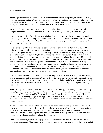and initiativetaking.

Returning to the genetic evolution and the history of humans aboard our planet, we observe that only by the genes-concentrating of successive generations of survivormatings were design-produced the best all-around average-size humans for average as well as special environmental conditions. Both giants and pygmies were designevolved for coping with extremes of environment.

Bare-handed giants could physically overwhelm both bare-handed average humans and pygmies, except when the littler ones escaped into caves or thickets through entryways too small for giants.

People think of the size of people in terms of height. Mathematics shows, however, that if we double human height while maintaining equal proportionment we have four times as much surface (skin) and eight times as much volume (flesh and bone--weight). "Twice as big" is really eight times as big. Giants were indeed overpowering.

Tools are the only-intermittently-used, noncorporeal extensions of integral functioning capabilities of biological species. Spider webs are tool extensions of spiders. Nests are short-term tool extensions of birds whose regenerative functioning occupies only a minor fraction of their lifetime activity. In order to be light enough to be able to fly, the birds must physically separate out all those of their overall essential lifetime functions not continuously required in their survival and development. Momentarily containing both embryo and nutriment, eggs are externalizable, system-separable, new-life-gestation tools which together with insulating nests provide the means by which the mother bird may fly unencumbered to seek out the worm or insect-packaged energy-intake-as-heat to be transferred to the embryo inside the heat conductive eggshell in its heat-conserving nest and do so before the eggs become too cold. Later she brings the worms and insects directly to the hatched chicks themselves, secure in their heat-conserving nest--an environment-controlling tool.

Nests and eggs are indeed tools, as is the womb--an only-once-in-a-while, carried-with-mammalian , new-lifeproduction tool. Mammals don't have to fly so they can carry tools integrally, internally, as do they also carry their hearts, livers, and other continuously interlinked high-frequency-of-use tools. All tools exist in Universe only as essential functional components of development programs of living organisms.

A cut-off finger can be swiftly stuck back onto the hand to seemingly function again as an apparently integral part of the organism. The comprehensive fact, however, is that nothing in Universe touches anything else. There are no solids. There are, in fact, no things. There are only complex criticalproximity and -frequency, unique event aggregates interoperative in pure principle. The event electron is as remote from its nuclear events as is the Moon from the Earth as size-referenced to their respective event diameters.

Biological organisms, like all systems in Universe, are constituted of locally interregenerative functions in pure principle. So too with all species. Humans have a vast range of overall essential functionings whose frequency and duration of use can be developed either as integral or non-integral, inorganic or organic tool-extensions of their pounding, cutting, scratching, marking, formative, or transformative and transportive functions of survival and development.

Simple tool-inventing, such as picking up a stone to throw in self-defense, requires only the brain's instinctive functioning. Almost everywhere stones lie ready to serve as heavier "fists" for powerful, but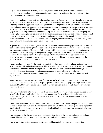only occasionally needed, punching, pounding, or smashing. Mind, which alone comprehends the complex interaction of principles, is required to anticipatorily invent stone-throwing slings, springloaded catapults, or bow-and-arrows archery.

Tools of self-defense or aggressive warfare, called weapons, frequently embody principles that can be constructively rather than destructively employed. Beyond even that, they can solve positively the originally negative, aggression-aggravating problem--a basic precept of design science. Conversely, ballpoint pens, carried with us in our breast pockets because so frequently used, can be employed either constructively to write a life-saving prescription or destructively as a dagger. My hearing aids and my eyeglasses are more permanent components of my awake hours than are millions of daily dying-andbeing-replaced protoplasmic cells of which my flesh is constructed--otherwise I could not lose a pound a day. My eyeglasses and hearing aids together weigh only a quarter of a pound. The same tool can become the extensions of many individuals, and for longer years than human generations. Bridges and transcontinental highways are universally social tools.

Airplanes are mutually interchangeable human flying tools. There are metaphysical as well as physical tools. Mathematics are metaphysical tools. Inter-relevant metaphysical informations are tools. The Massachusetts Institute of Technology's Department of Mathematics states officially: "Mathematics is the science of structure and pattern in general." Physical structures are tools. Mathematics makes possible the synergetic organization of metaphysical information which can be progressively objectivized as pattern-controlling or evolving tools systems which can advantageously alter the physical environmental circumstances of human existence.

The comprehensive name for the omni-interrelated significance of all physical and metaphysical tools is "technology." All technology is governed by generalized physical laws. All of these can be physically demonstrated and mathematically expressed. The physical Universe itself is omnitechnology--a complex of various frequencies of intercomplementary functions altogether producing nonsimultaneous, multi-frequenced, multimagnituded, only overlappingly inter-episoded, eternal regeneration.

Man-made laws, legal agreements, royal fiats are not tools. Man-made laws and customs are not technology. They are political power ploys, originally instituted only by-physical-might-asserted and -sustained "rights." Corporations are not tools. They are conventionally accepted power-proclaimed legal contrivances.

There are two fundamental types of tools: those which can be produced by one human unaided in any way physically or metaphysically by any other humans and those which could not be invented, developed, or operated by one human alone. The latter, multi-human-involvement tools, are the industrial tools.

The solo-evolved tools are craft tools. The solodeveloped craft tools can be complex and even powered, as by a harnessed creature or a dammed stream of water. Craft tools used as weapons make it possible for physically small humans to overwhelm physically either big humans or even bigger animals--tiger pitfall traps are one example.

This brings us to the slaying of the giant Goliath by David and to the generalized principle of brainmastered brawn by mind-mastered brain, of the metaphysical mastering the physical.

This in turn brings us to the present confrontation of humanity by the Grunch of Giants--the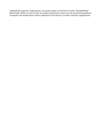supranational corporate conglomerates--the greatest giants in all history invisibly "Rough-Riding" planet Earth. While you can see their skyscrapers and factories, these are only the physical properties occupied by the human-drone workers employed by the elusively invisible corporate conglomerates.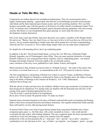# **Heads or Tails We Win, Inc.**

Corporations are neither physical nor metaphysical phenomena. They are socioeconomic ploys legally enacted game-playing—agreed upon only between overwhelmingly powerful socioeconomic individuals and by them imposed upon human society and its all unwitting members. How can little humans successfully cope with this greatest of all history's invisible Grunch of nonhuman Giants? First of all, we humans must comprehend the giants' games and game-playing equipment, rules and scoring systems. But before we can comprehend their game-playing, we must study the history and development of giants themselves.

One of my many-years-ago friends, long since deceased, was a giant, a member of the Morgan family. He said to me: "Bucky, I am very fond of you, so I am sorry to have to tell you that you will never be a success. You go around explaining in simple terms that which people have not been comprehending, when the first law of success is, 'Never make things simple when you can make them complicated.'"

So, despite his well-meaning advice, here I go explaining giants.

In addition to the B.C. David and Goliath theme, we have the A.D. 800 story of Roland (Childe Roland), legendary son of Charlemagne's sister Gilles. There are many poetical chronicles of young Roland's enfances (a very young person's heroic exploits), such as vanquishing giants—one named Ferragus and another Eaumont. From the eighth to the seventeenth century, many variations of the story occur, published in Latin, Italian, French, and English.

Much esteemed in Italy, Roland was known there as "Orlando Furioso"—the order of the name's first two letters is reversed from ro to or—as immortalized in the A.D. 1502 poem by Ludovico Ariosto.

The first comprehensive chronicling of Roland was written in Latin by Turpin, Archbishop of Reims, before A.D. 800. Roland (or Orlando) is mentioned by Dante in his Paradiso and is the subject of songs sung at the Battle of Hastings in the Chanson de Roland (c. A.D. 1100). Shakespeare mentions him in King Lear.

With the advent of radio and television, the children's Mother Goose-type storybooks of yesterday have been progressively abandoned. Few people today are familiar with the thousand-year-old story of the roaring of the giant as Roland approached his tower:

"Fee-fie-fo-fum/ I smell the blood of an Englishman/

Be he alive/ Or be he dead/ I'll grind his bones/ To make my bread."

Supreme horse-mounted monarchs in the days of Roland could and did award vast hunting and farming lands to their horse-mounted blood kin and military henchmen, who together hunted their lands and had them cultivated by on-foot, tithe-paying tenant farmers.

In ancient North China a new kind of giant had developed long, long before Roland's time a threecomponent-parts giant, i.e., the little man, with a club, mounted on a horse—who could and did overwhelm the big, onfoot, tribe-leading shepherd. This new composite giant, the horse-mounted bully, could divert to his sole advantage as much as he wanted of the life-support

productivity of the on-foot peasantry.(Pa ys = land; ped = foot = ped ant = pa ys antry = peasantry = combination of on the land and on foot = pa y of lands = pa of patriot = pa of pagans = patois = po-gan,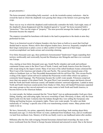pa-gan peasantry.)

The horse-mounted, clubwielding bully asserted—as do the twentieth-century racketeers—that he owned the land on which the shepherds were grazing their sheep or the farmers were growing their crops.

There was no way in which the shepherd could realistically contradict the bully. Each night, many of the shepherd's sheep disappeared until the shepherd agreed to "accept" the horse-mounted bully's "protection." This was the origin of "property." The most powerful amongst the leaders of gangs of horsemen became the emperor.

The emperor rewarded his henchmen with deeds to the land in proportion to the deeds at arms they performed for him.

There is no historical record of religion founders who have been so bold as to assert that God had deeded land to anyone. History shows that religious leaders have, however, frequently complied with their king's instructions to plant a cross or other symbol of God's approval of their king's sword-accomplished vast lands-seizure and ownership-claiming.

Over thirty thousand years ago, these prehistoric horsemounted "landowners" began expanding their territory northwardly and westwardly beyond the Himalayas into Mongolia and then ever westward into Europe.

Also, starting at least thirty thousand years ago, South Pacific islanders and south and northeast continental Asians came to the West Coast of North, Central, and South America from the Orient by rafts swept along by the Japan Current. Many if not most of the rafted Southeast Asians colonized the West Coast of the Americas and islands of the east Pacific. The current then returned some of the rafters to Southeast Asia, as Thor Heyerdahl demonstrated with his raft Kon-Tiki. This circum-Pacific ovaling of the Japan Current raft-travel outlined the Polynesian world within which was spoken a commonly based language. The Polynesians became the world's water people. Polynesia comprised more than one-quarter of the planet Earth. The great West Coast mountain ranges and deserts slowed both the North and South American coastal, raft-landed colonists' eastward migrations. Landed at many North and South American coastal points from Alaska to Chile, these raft-landed Polynesians separated into many groups as they moved eastward over many routes to both North and South America, to become known as the American Indians.

As water people, the Indians assumed that the "Great Spirit" (not an anthropomorphic God) gave them fishing, hunting, and cultivating rights, but never ownership of land. Obviously, to them, only the Great Spirit could own the land. Centuries later the Indians thought they were selling the Europeans only fishing and hunting licenses, not property rights. These were water people. No sailor can think realistically of "owning" a specific area of the ever transforming oceanic waters. Many pirates tried vainly to do so.

We have, historically, two prime, oppositely directed world-encirclings, both starting about thirty thousand years ago: (1) from the Orient via water, eastbound from Southeast Asia, and (2) westbound via land from northeast Asia. Mastery of all the sea finally went to one landbased nation after another.

Millennia after the first club-swinging Oriental horseman claimed land ownership, the man on the horse westbound from the Orient to Europe became helmeted and armored in metal. Due to the horses'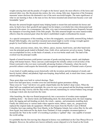weight-carrying limit and the penalty of weight on the horses' speed, the most effective of the horse and armored riders was, like the present-day jockey, the wiry, strong, little man. Inspection of the European museums' armor discloses the diminutive size of the most successful knights. The main significance of what we are learning is that, to the man on foot, the horse-mounted and armed men became a new and formidable "giant."

Because the armored knight required many helping hands to mount him and maintain his horses and arms, he had to have their goodwill and support lest his helpers overwhelm him when dismounted and encased in his armor. As a consequence, the little, wiry man in horsemounted armor frequently became the champion of traveling bands of the little people. The little armored knight was more maneuverably effective than the armored giant when the latter's multifolded weight overburdened his mount.

As a special consequence of this trending, we have the nongigantic, successfully armored King Arthur's Round Table Knights, who used their mounted and armed might to rectify wrongs wrought against people by local bullies and clumsily armored, horse-mounted landowners.

Arms, armor, precious stones, skins, furs, fabrics, spices, incense, hand-looms, and other hand-tools were the principal goods traded in Roland's time. Gold, silver, and pewter served as money. Trading was accomplished on foot, on the backs of animals, or on river-borne small craft. The land of the overlord was the principal wealth.

Squads of armed horsemen could protect caravans of goods-carrying horses, camels, and elephants along with human bearers. These caravans could transport the initially culture-evolved riches of the Orient westward to the ever more westwardly advancing frontiers of humanity, where the newly powerful cultures could acquire the historically recognized appurtenances of Oriental courts of power.

A new kind of wealth-making occurs historically with the invention and development of stoutly and heavily keeled, ribbed, and planked, high-seas-keeping, deep-bellied, and, in much later times, cannonarmed sailing ships.

These great ships were built in vertical shorings. Their

keels were laid upon heavy wooden cross-ties and blocked against premature sliding. These cross-tie "ways" led down very gently sloped banks into the harbor's deep waters. When the ships' hull was completed and watertight, the cross-tie ways were greased and the blockings mauled out from under the ship. Gravity slid the ship swiftly seaward, maintaining its vertical balance long enough to plunge it deck-side-skyward into the water.

After launching, the ship was floated progressively into a succession of wooden crane-equipped outfitting docks— the interior decks and bulkheading dock; the chain-plating dock; the mast-stepping dock; the rigging and sail-bending-on dock; the winch-, capstan-, and armaments-installing dock. Finally she sailed away to various lands where superior masts, fabrics, ropes, etc., progressively replaced the original make-do equipment. (World's best masts from the Pacific Coast of British Columbia; best rope-making fiber from Manila, in the Philippine Islands; best cotton fiber for the sails from Egypt; best teakwood for the decks from Thailand.) It took complete circumnavigation to incorporate the "best in the world" of everything to produce a "gallant" ship—one capable of aroundthe-world sailing.

It is probable that the first moving-line shipyard in history was established on the Chao Phraya River in Bangkok. However, the earliest now known militarily secure shipyard is to be found on the Greek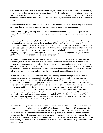island of Milos. It is in a miniature rock-walled fjord, well hidden from enemies by a deep-channeled, curved entrance. On the many rock platforms lining the fjord's walls, many shipbuilding artifacts were found. The Milos shipbuilding fjord was so well hidden that the Germans used it for their Aegean Sea submarine hideaway during World War II. (The Venus de Milo, now in the Louvre in Paris, came from Milos.)

History's next great moving-line shipyard is as yet to be found in Venice. So strategically important was the Venice shipyard that it was initially seized by Napoleon early in his campaigning.

Centuries later this progressively moved-forward-andadded-to shipbuilding pattern as yet clearly evidenced in the Venice shipyard became the prototype for all of massproduction industry's "moving lines."

The ship was, of course, a tool, but not a craft tool produced by one man. It was an industrial tool, massproducible and operable only by large numbers of highly skilled craftsmen, metalworkers, woodworkers, sailclothmakers, rope-makers, iron chain- and anchor-makers, seasoned sailors, and the coordinated muscle of "all hands." The merchant ship was a wind-energized industry, a tool that could sail around the world and carry cargoes worth many fortunes to lands not containing the materials brought by the ships, which when integrated with the home-port-occurring materials produced real wealth of increased life-support for more and more people.

The building, rigging, and arming of such vessels and the production of the materials with which to build them, as well as the production of the food and other necessities to feed and clothe all those engaged in the shipbuilding, required an effectively powerful military authority able to command the full-time commitment of the work and skills of the large numbers of humans involved. It also called for the amassing of large sums of negotiable wealth. Preferably the negotiable wealth was in the form of trade-implementing precious metals and jewels, commercially acceptable around the world.

For ages earlier the negotiable wealth had been the efficiently demonstrable products of labor and its produce, the grains and the livestock. Of the latter, the proteinamassed cattle constituted the most concentrated possible yet maneuverable realization of actual life-support wealth. Cattle were put up as collateral for the banker's loan of gold, silver, and copper coinage. When the voyage was successfully completed, the merchant-ship venturers repaid the banker and paid the banker his "interest" in the form of calves that had been interimly produced by the collateraled cattle. This was called "payment in kind"— kind being the kinder or "children" of the cattle. When bankers eliminated live cattle as collateral and dealt only in gold or silver, there were no gold coins being bred by gold coins as calves had been by cows, so interest was taken out of the capital gold by diminishing the equity of the borrower when he repaid his debt. The banker's interest was cut out of—that is, deducted from—the depositor's original "cap"-ital (head of cattle) stake.

As I made clear in Operating Manual for Spaceship Earth, (Published by E. P. Dutton, 1969.) when the farmer or cattlemen producers of "real wealth" of one hundred forward days of life support each for one hundred people—i.e., one thousand man-days of life-support—deposited their monetary specie equivalent in the bank and the banker loaned it out at 10 percent, it meant that the banker stole one hundred man-days of life support from the farmer depositor instead of providing the farmers the bankadvertised "safekeeping." The banker could hide this situation by price increase in the profits the banks made by using the depositor's real wealth units. But the depositor's dollar could buy him ever less real lifesupport units.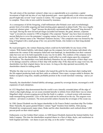The safe return of the merchant venturer's ships was so unpredictable as to constitute a capital investment of high risk but also of very high potential gain—most significantly a risk whose rewarding payoff might take several "crop" seasons to realize. The voyage might take several or even many years to complete. These risks in turn could be lessened by insurance.

As a consequence of all the foregoing, a half-millennium after Roland a new and overwhelmingly greater form of invisible seagoing and land-strutting giants appeared on planet Earth. This was a legally contrived, abstract giant —"legal" because the physically uncontradictable "topsword" king decreed it was legal. Having the most favored privileges accorded real humans, the giant, abstract, corporate "man" is inventively created in 1390 in England. (The corporate "human" may have been invented in ancient Babylon to cover the potentates' voyaging venture, but we have as yet no written record of such.) "His" abstract name is the "Merchant Venturers Society." This composite man was formed by the king of England with a small group of his very powerful friends, who lorded over their king-deeded vastlands.

By royal prerogative, the venture-financing riskers could not be held liable for any losses of the venture. With limited liability, individuals might sue the company but not the human individuals who underwrote the venture If the enterprise failed and went bankrupt, its shareholders lost their ventured stake but were not to be held responsible in any way for its debts. The creditors of the company were the losers, and not the shareholders. Bankruptcy could reflect no credit stigma upon the companies' shareholders. The shareholders were held absolutely blameless for any misfortunes of their ships' crew or for damage caused by collision of their ship with another ship. If the ship and its cargo were lost, the shareholders lost their original shares, but no more. As long as the ship operated successfully, the shareholders shared its trading profits

Whether the ship was lost or not, the banker who loaned the gold for the merchant ship's trading held the life-support-producing lands and their cattle as collateral. Since many voyages ended in disaster, the banker occupied a long-time, steadily profitable position in the overall merchant venturing—and as yet does.

Naturally, the shareholder's limited-liability advantage, granted by sovereign decree, encouraged a swift expansion of such enterprises.

In 1522 Magellan's ship demonstrated that the world is not a laterally extended plane off the edge of which a ship might plunge, nor an ocean extended laterally to infinity from which there was no return. Magellan's ship's circumvoyaging proved that the Earth is a sphere—a closed system with enormous trade-monopolizing potentials. Laws of the land could not be enforced on the sea. The seagoers were outlaws—privateers or pirateers. The most powerful outlaws became the sovereigns of the ocean sea.

In 1580, Queen Elizabeth was the largest shareholder in Sir Francis Drake's merchant ship The Golden Hind. Naturally, the queen granted Drake's venture "legal" freedom from liability. After paying Elizabeth her conspicuously major share, Drake and his other shareholders each realized almost 5,000 percent profit on their risked capital.

Enthusiastic over her Golden Hind venture, in 1600 Queen Elizabeth chartered the limited-liability East India Company. This time the shareholders acquired shares in a fleet of ships, docks, and warehouses in both England and India—not shares in just one ship, as in the earlier "venturing."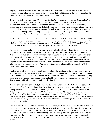Employing her sovereign power, Elizabeth limited the losses of its chartered riskers to their initial monetary or equivalent capital stakes, while continuing their right to receive their proportional profit dividends for as long as the venturing company might exist—in perpetuity.

Known later in England as "Ltd." (for "limited liability"), in France as "Societe en Commandite," in Germany as "Kommanditgesellschaft," and as "Corporation" under the U.S.A.'s "Inc." (for incorporated) status, this newborn abstract legal giant was to be treated as a human personality, empowered to do anything humans can do but also accredited to operate as an abstract, legal entity able to enter or leave any nation without a passport. As such it was able to employ millions of people and any amount of money, tools, buildings, and equipment, and to perform its giant acts anywhere about the oceanic world exclusively for the profit in perpetuity only of its shareholders.

When the Fourteenth Amendment to the U.S.A. Constitution was passed in the post-Civil War railroadexpansion days, the U.S. Supreme Court required that the individual states grant the corporation all the privileges and protection granted to human citizens. A hundred years later, in 1980, the U.S. Supreme Court ruled that a corporation had the same rights of free speech as all U.S. citizens.

To allow its corporate bodies to make a colossal new grab, Grunch has ordered its pet puppets to take over the world ocean-bottom resources. As of February 1982, the United States, Britain, France, and West Germany have reached preliminary agreement to bypass the stalled Law of the Sea Conference and proceed with development of seabed mineral resources, the Japanese foreign ministry said. Japan expressed opposition to the agreement—unconfirmed by the four other countries—and said such a program should operate under U.N. auspices. The United States and other developed countries have refused to agree to developing nations' demands that seabed development be overseen by a U.N. agency dominated by the poorer countries.

The fourteenth-, fifteenth-, and sixteenth-century rulers who instituted and empowered those abstract corporate giants were able to popularize their acts by celebrating the visual wealth of goods it brought to their country and to the political satisfaction of their many citizens. The profit to society was visibly distributed as the goods, services, museums, and public-place rarities the enterprising produced. The shareholders' dividend checks were invisibly distributed.

With the battle of Trafalgar in 1805, the risk-capital powers backing the "British Empire" became the "Sovereigns of the Seas." Until that time the high-sea venturers had carried gold and silver as their trading medium. This induced world-around high-seas piracy. The behind-thescenes masters of the British Empire then invented the annual balance of trade" as a world-around bookkeeping system which kept its gold off the seas and instead, after the year-end tallying of the trade interactions, transferred the gold from one country's London vault to another country's London vault. This withdrew the gold from the seagoing pirate's reach. However, it brought many of the pirates into the financial districts of great cities.

Naturally, shareholding in Ltd. enterprise became increasingly attractive as an investment risk, but soon the monetary size of investment required for share participation grew beyond the acquisition means of all but the wealthy. Stock-exchange brokers, for their own convenience, imposed trading only in hundred-share "lots" or "blocks," which quickly raised the equity-purchasing increments to so great a price that only the very wealthy could any longer participate in such venture-sharing. The capital games' playing-rules "kept the pikers out," the original pikers being the on-foot, pike-bearing castle guards.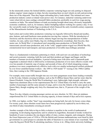In the nineteenth century the limited-liability corporate venturing began not only putting its shipyard donkey engines' steam engines in ships, but also mounting them on steel wheels on rails and powering them out of the shipyards. Thus they began railroading heavy loads inland. This initiated new massproduction industry centers at inland water-power sites. For instance, industrial venturing underwrote water-wheel-driven mass-yardage cottonmill fabric production, preferably in such low-wage-paying countries as India. The annual balance-of-trade accounting brought about many obviously inequitable economic conditions, such as, for instance, India's burlapbag-makers working for a penny a day. It was the vast profits made on burlap bags so produced which financed the early-twentieth-century expansion of the Massachusetts Institute of Technology in the U.S.A.

Such cotton and woolen fabric production-venturing was logically followed by thread and needles, pins, buttons, and small hardware mass-production moving-line ventures. With the introduction of electricity and the electricity-driven motor, industry began moving-line massproduction of dollar watches, tin cans, safety razor blades, big-city clothing-production sweatshops, then bicycles, then motor cars. In World War I, it introduced steel steamship mass-production; in World War II, transoceanic aircraft mass-production; and, in the "cold," puppet-nation-waged war (World War III), extraterrestrial travel and transport, and mass-production of invisible mass-killingry potential.

There is a fundamental evolutionary patterning in which, with each new era and phase of technology and social-economic venturing, both the tools and their products get bigger and bigger, and the numbers of humans involved multiplies. A period of doing more with more until a mammoth peak magnitude is attained which is followed by evolutionary production of ever more effective results with ever less pounds of material, ergs of energy, and seconds of time, all of which integrating synergy produces ever more comprehensively effective tools with ever smaller technological artifacts produced by ever fewer unskilled human workers—the 1895 to 1929 model "T" waxing to the 1960s Cadillac limo, then waning to the 1980 Japanese Honda.

For example, trans-ocean traffic brought into use ever more gargantuan ocean liners leading eventually to the five-day-Atlantic-crossing leviathans, such as the 81,000ton Queen Mary and her sister ship the Queen Elizabeth. Using the World War II technology's new, lightweight, high-strength, saltwaterimpervious aluminum alloys in her superstructures the S.S. United States was built to carry the same number of passengers and the same amount of cargo, and to cross the Atlantic at the same speed as the Queen Mary, though weighing only forty-five thousand tons, that is, 55 percent of the weight of the Queens.

These five-day-Atlantic-crossing passenger carriers are now obsolete. In 1961, three jet airplanes outperformed the S.S. United States in carrying capacity, in hours instead of days and at less expense.

In 1980, ever lighter, swifter "liner"-type steamships are being built, but only for luxury cruise ships. For twenty years, these obsolete ocean liners have been progressively replaced by ten-to-thirty ton, one-third-of-aday-transatlantic-crossing jet aircraft.

Another example of the little-to-big-to-little evolution is manifest in the world of mathematical computing. In developing trigonometry and its solution by logarithms, thousand of monks worked for hundreds of years to produce the one-degree tables of sines, cosines, tangents, and cotangents. During the Great Depression years of 1930 to 1936 the British and German mathematicians were hired by their governments in a joint project to calculate the table of functions to a one-minute of arc exactitude. Then came the big post-World War II calculating machines, Univac et al., filling whole university buildings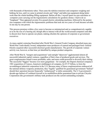with thousands of thermionic tubes. Then came the tubeless transistor and computers weighing and bulking far less, until we came to printed circuits and "chips" and table-top equipment doing better work than the whole-building-filling equipment. Before all this, I myself spent two pre-calculator or -computer years carrying out the trigonometric calculations for geodesic domes. I had to do so "longhand." Then appeared seventy-five-pound electric calculating machines, followed by the pocketsize computers with which the trigonometric problems that took me two years of work became solvable in one day by one person.

This process promises within a few years to become so miniaturized and so comprehensively capable as to be the size of a hearing aid, though able to interact with all the world-around computers and able to discern how best to operate our planet, making obsolete the opinions of corporate or government executives.

As mass-capital-venturing flourished after World War I, General Foods Company absorbed many pre-World War I individually owned, independent mass-producers of canned and packaged food. General Electric acquired other successful electrical goods manufacturers. The growth of corporate venture activity was, however, at that time yet identified by unique product categories.

After World War II, "mergers and acquisitions" and outright "takeovers" agglomerated almost all successful industrial capital ventures, regardless of their class of produced goods and services. The great conglomerates found it more profitable, safer, and more credit-powerful to diversify their risking. The successful "biggies" became ever more gargantuan—for example, the Dupont chemical company's 1981 acquisition of Conoco, America's ninthlargest oil company, for \$7.57 billion, to form the seventhlargest industrial corporation in the U.S. Because many of these conglomerations embraced all the national defense weaponry production, they "legally" qualified for guaranteed government "bailout" should their operation become financially "embarrassed" or debts unmeetable. The U S government's decade-ago bailout of Lockheed Aircraft or its multibillion-dollar guaranteed loan to private Chrysler Corporation (the government's military-tank producer) are the current outstanding examples.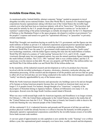# **Invisible Know-How, Inc.**

As mentioned earlier, limited-liability, abstract corporate "beings" needed no passports to travel altogether invisibly across national borders. Soon after World War II, America's five hundred largest corporations became supranational, taking with them (out of the United States) the invisible legal controls over what had been born as American industry with all its "know-how." The knowhow had been paid for initially by the U.S. people through their government's wartime (or "on the brink of wartimes") underwriting of the prime technologies as initially developed only for the U.S. Department of Defense or the Manhattan Project or the space program, developed in wartime at government ("we the people's") expense and turned over gratis for "operational efficiency" in "peacetime" to privately owned corporations.

World War I brought vast munitions-buying on credit by the U.S. government, and the figures ran into multi-millions of dollars as private U.S. industrial corporations acquired postwar operational rights to all the wartime government-financed new-era technology production machinery. Stockholders prospered. World War II saw the same U.S. government credit employed to produce "multi-vaster" new-technology munitions, with the dollar figures running this time into the multi-billions of dollars. World War III's third-of-a-century of "cold-warring" between the U.S.A. and U.S.S.R., waged vicariously through many hot-war puppeted nations, has seen the annual munitions figures running into the multi-trillions of dollars. The U.S.A. 1981 "national" debt is over a trillion dollars, and the U.S. cannot pay even the interest on that debt. We can very properly call World War I the million-dollar war and World War II the billion-dollar war and World War III the trillion-dollar war.

In the meantime, all the industrial research and development as well as its products have become involved with the invisible technologies of atomics, electronics, chemistry, molecular alloying, and information processing. All the research and development of all the products and services that are going to affect all of our forward days are now being conducted in the realm of the electromagnetic spectrum "reality" not directly apprehendible by any of the human senses.

While the North American-situated factories and spectacular city buildings seem to be and are thought of by humans as being American property because they are located on American land, most are no longer U.S.A.people-owned. For instance, though thought of as "American," a majority of the skyscrapers of Honolulu belong to Japanese bankers. Arabian oil billionaires own many U.S. city skyscrapers. Kuwait owns the large South Carolina coastal island of Kiawah.

What was once world-around high credit for American ingenuity and friendliness is no longer existent. On February 1, 1982, the United States ambassador to the United Nations stated to the media that all the "United Nations now hate the U.S.A." What they hate is Grunch, but Grunch is able to deceive the world into blaming the very innocent people of the United States.

All the continental U.S.A.'s industrial factories and grounds and 90 percent of all that can and does produce physical wealth has already become or is about to become the humanly invisible property of inhumanly operative supranational corporations controlled by the invisible human owners of invisible Swiss bank account code numbers.

A vast new giant of approximately no-risk capitalism is now astride the world. "Earning" over a trillion dollars a year, this supranational giant's monopoly over know-how, wealth, research and development,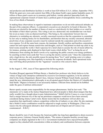and production and distribution facilities is worth at least \$20 trillion (U.S.A. dollars, September 1981). While the giant now owns and controls four-fifths of the planet Earth's open-market bankable assets, \$1 trillion of those giant's assets are in monetary gold bullion. Astride spherical Spaceship Earth, the supranational corporate Grunch of Giants faces a political giant of noncapitalistic forces controlling the lives of two-thirds of humanity.

In making these observations in regard to inanimate corporations we do not infer antisocial attitudes on the part of the corporate officers. A corporation's executives are elected by its board of directors. The directors are elected by the number of shares of stock as voted directly by their holders or as voted by the holders of their share's proxies. This voting is not on a democratic one stockholder/one vote basis but on an as-many-votes-as-sharesowned basis. This being so, the corporations' lawyers have no alternative to reminding any altruistic, socially concerned executives that the corporation is committed by law only to making money for its shareholders, and therefore that any socially concerned, altruistic proclivities of any corporate executive must be realized outside the corporation and at the executive's own expense. For all the same basic reasons, the inanimate, literally soulless and heartless corporations cannot feel and express human sensitivities and thoughts, such as I find printed on desk-top cards in my hotel rooms around the world. I find it specious for a hotel chain to assume the role of moral arbiter by, for instance, printing cards displayed in their hotel rooms which define "love" as being the act of forbearance from stealing the hotel's towels or by exploiting the public concern over energy problems by asserting on their room cards that "love is saving the electric current costs." Since the corporation is only a legal device, the only possible reason for paying those "love" cards' printing costs is to reduce the hotels' operating costs, thus hopefully to increase the corporate dividends. Such operational tricks may well bring about promotion for the "ingenious" executives who conceive them.

In the August 3, 1981, issue of Time appeared the following article:

President [Reagan] appointed William Baxter, a Stanford law professor who firmly believes in the virtues of large-scale enterprises unfettered by excessive Government regulation, to be his antitrust chief in the Justice Department. Baxter's boss, Attorney General William French Smith, succinctly stated the new Administration's philosophy in an oft-quoted speech before the District of Columbia Bar. Said Smith: "Bigness in business is not necessarily badness. Efficient firms should not be hobbled under the guise of antitrust enforcement."

Baxter openly accepts some responsibility for the merger phenomenon. Said he last week: "The statements we've made at the Justice Department have allowed people to think about mergers that they really wouldn't have thought about in past Administrations." Mobil's bid for Conoco is a case in point. Such a merger between two of the top ten petroleum companies would never have been seriously considered during Jimmy Carter's term. Baxter insists that his trustbusters will not allow any acquisition that significantly reduces competition within the oil industry or any other. He also maintains that a Mobil-Conoco combination would be subjected to tough scrutiny in Washington. [That is one reason why the subsequent alternative deal which united non-oil Dupont and oil Conoco was countenanced— R.B.F.]

Baxter should be wary if only because the American public has long been apprehensive about excessive corporate power. [Attorney General Smith] admits, "The strains of populist hostility toward large companies are deeply ingrained in the U.S.A. Government trustbusters have enjoyed broad public support as they attacked both concentration within an industry and combinations between corporate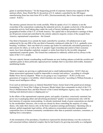giants in unrelated business." Yet the burgeoning growth of corporate America has outpaced all the antitrust efforts. Since World War II, the portion of U.S. industry controlled by the 200 largest manufacturing firms has risen from 45% to 60%. [Socioeconomically, that is from majority to minority control—R.B.F.]

The attorney general chooses his words carefully. What he speaks of as U.S. industry is not the ownership of the corporations conducting the industrial activity; he speaks exclusively of the physical production activity itself taking place under the roofs of factory buildings situated within the geographical borders of the U.S. of North America. The capital title to and productive earnings of these are 60-percent owned and controlled by the entirely unknown majority owners of the escaped-from-America, supranational corporations—the Grunch.

One-third of humanity lives outside the lands controlled by socialism. All unbeknownst to and undetected by the one-fifth of the one-third of humanity residenced within the U.S.A., gradually crossbreeding "worldians," their one-third-of-a-century-ago kudos for realistically articulated generosity to and concern for others, as well as the U.S. peoples' legal ownership and control of their economic assets, have been altogether exploited, usurped, or stolen from them by the invisibly integrated supranational corporate giants. The Grunch has conducted its ruthlessly selfish activity always in the name of the U.S.A. people.

The now majorly literate crossbreeding world humans are now looking askance at both the socialist and capitalist giants as these politically opposed powers multiply their to-anywhere-deliverable, humanityannihilating bombs.

"Modern weapons are growing so sophisticated and so small [ephemeralization—R.B.F.] that any future armscontrol agreement would be impossible to monitor and enforce," according to a Knight-Ridder News Service dispatch. "What we are going to see ["experience"—R.B.F.] in the next generation of weapons is invisibility, which translates into insecurity," according to William Kincade, a former naval intelligence officer.

Even such an informed source as Admiral Stansfield Turner, former head of the grand-naval-strategyformulating U.S. Naval War College in Newport, Rhode Island, then commander-in-chief of the U.S. Navy's Mediterranean fleet, and then Director of the Central Intelligence Agency, says: "Any hope of limiting total destructiveness is slipping past us."

In the affairs of the supranational corporate giants, real quality of product, consciously sustained, has given way to packaging-allure and advertising-proclaimed "quality" as commensurate only with the best interests of corporate moneymaking. As already mentioned, heads of great corporations are elected by the stockholders' directors, who in turn are chosen by those controlling the majority of voting shares, who make their choices only on the basis of greatest earnings performance. Operating only as abstract, global-magnitude legal entities, all the unknown-owneredand-controlled supranational corporations have no human-community consideration other than as potential customers, consumers, or fighting-force conscriptees.

At the termination of his presidency, Eisenhower expressed his shocked dismay over the exclusively self-concerned military-industrial complex that he had found to be growing inexorably as a malignant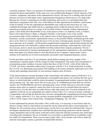economic organism. There is no question of Eisenhower's innocence of such a phenomena as he assumed his great responsibility. In the same way I am confident that Reagan is utterly unaware of the existence, magnitude, and nature of the supranational colossus. He knows he is dealing with rich and business-wise-proven individuals whose organizational management effectiveness is of a high order. Because the colossus is operating an invisible technology, and society is so specialized that each individual is acquainted with only a few of the billions of other specialized invisibilities, and because of the invisibility of who the supranational shareholders may really be and where they are, I am confident that Reagan truly thinks that he is operating strictly within the historic limits of a U.S.A. national government and not as a stooge of an invisible Grunch of literally soulless supranational giants. I don't think David Rockefeller or any of the justices of the U.S. Supreme Court, or Volcker, head of the Federal Reserve Bank, or Margaret Thatcher, or the heads of any of the world's governments think of their problems in the realistic terms of their being governed entirely by the inanimate, socially unconcerned, supranational colossi, as the possibly lethally nonhuman growth could prove to be. However, Grunch could also prove to be an army of benign giants, because it will depend more and more on its complex, world-around computerization integration, and the data entered into that integrated network will continually evidence that the present technology could make the world work for everyone, and at a much more profitable level than realized from weapons production. Nor do I think these present power structure spokespeople see the supranational corporations as the unwittingly benevolent agent of evolution about to close the historical era of separate "nation-states" and to institute in its stead the era of omni-economically successful, omni-integrated planetary society.

For the past thirty years the U.S. government's grand defense strategy has been a puppet of the supranational corporate giants with the strings invisibly manipulated. This policy has concentrated on accumulating greater numbers of atomic bombs than those of the U.S.S.R., while all the while the U.S.S.R. was (only) ostensibly endeavoring to keep pace with the U.S.A. bomb production. In reality the U.S.S.R. was dominantly preoccupied with building an all-oceans, primarily underwater navy from scratch and expanding numerically its conventional-weapons army divisions.

At the time Eisenhower became president of the United States, the military experts of both the U.S.A. and U.S.S.R. had independently concluded that a missiledelivered atomic war would be the first war in history in which both sides would be utterly devastated. In gunmunitioned warfare, whoever shot first and accurately won. The other man's shot never got away. In 14,000miles-per-hour delivery rocketry warfare, the 670,000,000miles-per-hour operating radar vision of both sides gives each side enough advance notice after its respective enemy has fired to let loose all of its arsenal before the enemy's missiles arrive. For the first time in warfare history, both sides utterly lose. For those hotheads in the capitalist world who as yet contemplate pre-emptive firing of the U.S.A. arsenal of atomic warheads, it is importantly relevant that the Russians have accurate, geographically triangulated positioning of their U.S.A. targets, while the U.S.A. does not have accurate geodetic triangulation of the location of most of the U.S.S.R. targets. (See Critical Path, "Triangulation Mapping," pp. 184-188.)

To best understand the present (November 1981) world crisis, it is necessary to turn history back for almost a century, back to when Edison invented the electric lamp and the direct current generator. J. P. Morgan, Sr., the economic power structure giant, was the first to act upon the realization that: whoever developed, manufactured, installed, and controlled the physical-energy generators and the meteredenergy distribution and cut-off system could and would control the national economies into which they were physically introduced. The air we breathe was everywhere so plentiful that its availability could not readily be monopolized. There were too many ponds, lakes, rivers, brooks, and wells to make the metered watersupply systems a generally monopolizable business.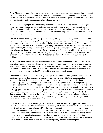When Alexander Graham Bell invented the telephone, it had to compete with the post-office conducted mail and required far greater numbers of employees. Morgan saw that the copper mines and the electric equipment manufactured from copper as well as all the power-generating companies involved the least labor participation and the then maximally profitable business.

All of the foregoing required the availability and controllability of an utterly unprecedented magnitude of physical apparatus and installation of otherwise unemployed monetary wealth. The patents of Edison's inventions and an army of astute lawyers and brokerage houses became the pivotal legalprecedent-accepted economic properties and work force in amassing the initial procurement capital of Morgan's power monopoly.

This initial capital-amassing was greatly augmented by selling interest-bearing bonds to widows and trust funds in general, seemingly safely secured by the vast lands given as a "grateful" U.S.A. people's government as a subsidy to the pioneer railway-building and -operating companies. The railroad company bonds were secured by the seemingly highly valuable real estate adjacent to all the railroad, cross-country rights-of-way, their way-station town properties, railway stations, trackage, etc. which railroad company bonds were purchased for widows and trust funds in general by their trustees. This capital amassing initially financed the electric power companies. As we have noted elsewhere, these railroad bonds became worthless in the 1929 economic crash. Nobody wished to buy the old depot buildings, etc.

When the automobiles and the auto-trucks took so much business from the railways as to render the railroad passenger systems profitless, and cross-country, pipeable petroleum replaced coal as a prime fuel, and giant transoceanic tankers were developed, and the Middle East oil lands were explored and developed, the petroleum business rose swiftly to become the maximum economic power giant of the twentieth century, outpowering the Morgan utilities- and banks-based system.

The number of kilowatts of electric energy being generated from each BTU (British Thermal Unit) of fossil fuels burned or foot-pounds per second of water-power-derived turbine-functioning has continually increased since the very beginnings of electric-power generation and distribution. Concurrently, the weight of the production and distribution equipment to produce that power rapidly decreased per each kilowatt or horsepower of energy produced and delivered. As a consequence of this neverceasing technological increase in overall efficiency, the actual overall cosmically predicated costs of energy generation have always and only decreased, and cost increases have been the consequence of those in top power-positions contriving through pricing to be able to pay ever greater dividends to shareholders and thus to increase the stockmarket value of their own shares, thus in turn to increase their power to control the amassed money of others as capital. Such capital power manipulation is intoxicating and seemingly unchallengeable.

However, as with all socioeconomic-political power evolution, the politically appointed "public service" commissions in all the states have consistently granted even higher kilowatt-hour price rates to the privately owned, deceptively named "public service companies" producing the electric power. So unchallengeably powerful are the "public service" commissions that in 1981 and 1982 they have been able to allow great utility companies to abandon some nine hundred million dollars wasted by utility companies as they abandon their partially finished atomicenergy plants on the U.S. West Coast charging the loss to the consumers by increasing their rates. This results in private enterprise making a \$900 million bad gamble and having the capability of passing on their loss to the public.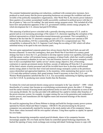The constant fundamental operating-cost reductions, combined with constant price increases, have produced so much money that the power-generating businesses are amongst the wealthiest and most invisible of the politically manipulative organizations. After World War II, the electric power industry's three-quarters-of-a-century accumulated wealth successfully combined its political power with that of the oil giants to "take over for nothing" the total atomic-energy program assets. This included all of the know-how and production apparatus of the U.S. government's military atomic-energy program, for which development the U.S. citizens had paid \$150 billion.

This amassing of political power coincided with a generally dawning awareness of U.S. youth in general and an ever-increasing percentage of the mature U.S. electorate regarding the corruption of the political representatives of their theretofore-trusted democratic government. This corruptibility is inherent in the fact that the TV electronic campaign costs of U.S.A. elections now amount to \$50 million for the presidency, \$10 for a senatorship, and \$5 million for a congressional seat. This corruptibility is enhanced by the U.S. Supreme Court's hang-fire no-ruling of 1981 which will allow unlimited money to be spent in the next election years.

The now-gone supranational corporate giants have always known that the fossil fuels can and will become exhausted. To meet this contingency, their post-World War II last-third-of-a-century grand strategy has been to force the U.S. government to develop superior atomic-war capability, knowing full well that atomic warfare will terminate human occupancy of planet Earth, which fact would eventually force the government to abandon its war use. First and foremost, however, the power monopoly would have to have accomplished their "public service" atomic energy objective; first, of becoming contractors to operate government atomic facilities; second, of siphoning off from the U.S. government all the latter's atomic scientist personnel and all the invisible know-how to develop world-around atomic-energy plants to feed into their wired and metered energy-monopoly system as the petroleum source diminished and approached depletion. In the meantime, while maintaining their power over the U.S.A and other political systems, their grand strategy found it necessary to have the U.S.A. and Western World population satisfied that the U.S.A. was successfully maintaining its fighting superiority over the U.S.S.R. by producing more atomic bombs than the Russians.

To initiate his wired and metered electric-energy-power monopoly in the "gay nineties"—1890—which threefourths of a century later became an overwhelming socioeconomic power, the elder J. P. Morgan used the earlier formula of issuing bonds and preferred stocks on each of his enterprises as soon as they were paying dividends. He was thus provided with additional free capital to initiate other branches of the power-structure system: for example, in copper mining (for use in the generation and conduction of electric power), steel manufacture (for the highline masts and structural housings of the electric equipment), etc.

He used his engineering firm of Stone-Webster to design and build his foreign-country power systems operated by Electric Bond and Share Company—EBASCO. His priceincreasing by the power companies was automatically matched by increase in the stock-market sale of his companies' shares. These share values increased with his own equities' advance. Using these equities as capital, he opened his own banks.

Because his enterprising monopolies earned good dividends, shares in his companies became increasingly popular. His own bank and the banks he controlled opened brokerage departments. He backed the opening of many stock-exchange-seat-owning individuals' brokerage houses to cope with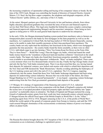the increasing complexity of openmarket selling and buying of his companies' shares or bonds. By the time of the 1929 Crash, Morgan was controlling the boards of directors of General Electric, General Motors, U.S. Steel, the big three copper companies, the telephone and telegraph companies, all the "Edison Electric" public utilities, etc.; and many of the U.S. banks.

At the outset, Morgan's partners gave Harvard University its law and business schools, from whose highly educated, specialized graduates they recruited the army of lawyers and financial experts to service their Wall Street offices. This legal army handled the behind-the-scenes complex contractings and financial paperwork implementing Morgan's and his associates' enterprises. There being no laws against so doing prior to 1929, he used general bank deposits to underwrite his enterprises.

In the early 1920s, the Morgan-dominated banking system pushed farm machinery sales to farmers on timepayment plans secured to the banks by first mortgages on the farm properties as well as on the machinery. As I explained in Critical Path, the bad hog market of 1926 hit farmers financially, causing many to be unable to make their monthly payments on their time-purchased farm machinery. The country banks not only replevined the machinery but foreclosed on the farms, which were mortgaged to guarantee the time payments—the country banks found the farms unsalable, as there were no other U.S.A. individuals eager to go into farming. ("How You Gonna Keep Em Down on the Farm After They've Seen Paree?" —World War I song.) Then the bigger city banks, which had loaned the small banks money based on the "soundness of physical land and machine collateral," foreclosed on the small country banks. The larger city banks also found their foreclosure properties unsalable. No cash funds were available to accommodate their depositors' withdrawals. "Runs" on banks multiplied. There came a crisis moment when over five thousand banks closed in one day. Finally the big Chicago banks closed and only the big New York banks remained open. Then it was discovered that they, too, having loaned their deposits for industrial ventures, now lacked cash monies with which to refund their depositors and the New Deal and FDR declared the "Bank Moratorium," thereby avoiding admitting the bankruptcy of the U.S. banking system and with it the end of U.S.A. capitalism. The U.S. Congress, inquiring exhaustively into the matter, found that those New York banks' brokerage departments had been using deposits for underwriting venture industries. Because this was at the heart of the failure, the Glass-Steagel Banking Act of 1933 was enacted"permanently"—it was hoped—separating venture brokerageunderwriting from the New Deal government's guaranteed bank deposits of the people.

J. P. Morgan, Sr.'s strategy of organization of the financing and control of U.S.A. industrial development was evolved from his close cooperation with the Bank of England's centuries-old, behindthe-scenes laws of accepted precedent of physical property rights and their convertibility into "paper securities" as marketable shares in enterprise. The Bank of England and Morgan nurtured the young Grunch of eighteenth-century giants from their youth into lusty nineteenth-century colonial maturity. J. P. Morgan became the official fiscal agent of the British Empire in World War I. As the "Allies' " purchasing agent from 1914 to 1918, Morgan's amassing in the U.S.A. of the profits of World War I shifted the world capital of the grunch of corporate giants from Europe to America, and until the 1929 crash assured Morgan's dominance of the socioeconomic evolutionary balance of power over human affairs on planet Earth.

• • •

The Russian Revolution brought about the 1917 inception of the U.S.S.R. and its organization of world communism as an evolutionary challenge to capitalism's power.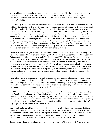In Critical Path I have traced these evolutionary events to 1981. In 1981, the supranational invisible moneymaking colossus finds itself faced with the U.S.S.R.'s 1981 superiority in number of conventionally armed divisions and greater all-oceans naval power than that possessed by the U.S.A. and its NATO allies.

U.S. Secretary of Defense Caspar Weinberger admitted in April 1981 the extraordinary Soviet military buildup, which has left in its wake the U.S. loss of strategic defense advantage which it had maintained in the fifties and sixties. He cites Defense Department data showing the Soviets' four-to-one advantage in tanks, their two-to-one tactical advantage in atomic-powered, atomic-missile launching submarines, and a four-to-one advantage in submarines, and in addition the sizable increase in the weight and accuracy of their nuclear intercontinental strategic missiles. He describes their naval buildup as the fastest in naval history. Weinberger states that, at present, the U.S.S.R. continues to outbuild the U.S. two-to-one in surface vessels and five-to-one in submarines, according to his latest figures. (Jane's annual publications of international armaments have been providing these figures quite accurately over the years with no mention of them by the petro-atomic-power-structure-puppeted U.S. politicians and even less mentioned by the supranational-giants-controlled U.S. press.)

To regain its military edge (detente) over the Soviet Union, if it can be done at all, and assuming that the U.S.S.R. does nothing to offset the attempt, will take ten years and, according to Defense Secretary Weinberger \$1.6 trillion or approximately \$1 billion a day (\$365 billion a year) over the next five years, just for starters. The supranational-money colossus needs that time to build its CIA-organized and U.S. people's unknowingly financed fighting power, officered by mercenaries (For example, the aborted Seychelles "invasion" of November 27, 1981, involving mercenaries based in South Africa.) and soldiered, sailored, and piloted by puppeted countries to attain a superior posture over the Soviet Union or any other power—including even a possibly-to-be-catalyzed, supranational, individually thinking and acting, spontaneously cooperating amalgam of now majorly literate, apolitical, worldaround citizenry.

Since it takes millions of dollars to win U.S. elections, the vast majority of America's crossbreeding youth and an ever-increasing number of its adults concede politics to be so inherently corrupt as to cause increasing numbers of qualified voters to withhold from voting, lest in doing so their action be misconstrued as constituting their approval or acceptance of the present-day corruptibility of politics and its consequent inability to articulate the will of democracy.

In 1980, of the 227 million persons in the United States (159 million of whom were eligible to vote), only 78 million, or only one-half, of the eligible persons voted in the most negatively momentous presidential election in nearly a third of a century. Of that number who voted, only 40 million voted for the winning candidate, Ronald Reagan. The "overwhelming majority" that President Reagan repeatedly claims legitimizes his "mandate" for sweeping executive and legislative change consists, in fact, of only 14 percent of the people of the United States.

Many youth and many oldsters inspired only by a concern for all Earthians and convinced that their voting cannot stem big money's "will" did not vote. On the other hand, the economically rich, seeking to secure their economic advantage, for example rich widows and retired executives, leave it to their lawyers, stockbrokers, or such organizations as the very minor minority organization (immorally misrepresenting themselves as the "Moral Majority") to make their voting decisions.

Regarding such doing-the-thinking-for-others organizations as the "Moral Majority," we have Yale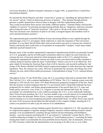University President A. Bartlett Giamatti's statement in August 1981, as quoted from a United Press International dispatch:

He said that the Moral Majority and other "conservative" groups are "shredding the spiritual fabric of our society" and are "intent on destroying diversity of opinion.... They threaten through political pressure or public denunciation whoever dares to disagree with their authoritarian positions.... They would sweep before them anyone who holds a different opinion." Giamatti further criticized the "peddlers of coercion" for pressing uncompromising attitudes that are "dangerous, malicious nonsense" and as being advocates of "polyester mysticism" with a goal to "divide in the name of patriotism.... They have licensed a new meanness of spirit in our land, a resurgent bigotry that manifests itself in racist and discriminatory postures."

The supranational-giant-controlled Madison Avenue advertising billions at once replied through the editorial pages of its U.S. newspapers which undertook to vitiate the statement of Yale University's president. It is not likely that the third-oldest and second-richest university in America has a board of trustees and faculty that would select as its president an irresponsible "crackpot," which many media editorials asserted Giamatti to be.

Because many of the invisible supranational corporation's manufacturing facilities are presently located on U.S.A. geography, and the invisible giant's armaments objectives require ten years lead-time, the colossus has now of necessity placed its initial armaments orders in the U.S.A.-situated factories. Capitalism's supranational corporate colossus also finds it most convenient and invisibly expedient to continue doing its business under the name "United States" which is easy for it to do effectively: first quite simply by hoisting the American flag in front of all its factories, and second by pulling the vital strings of the finance-shackled and lobby-locked congressional puppets to make them pass the requisite legislation. Thus, the colossus now (early 1982) has in production the necessary first-things-first of its ultimate ten-year, multi-trillion-dollar procurement, world-published as being "U.S.A. national defense activity."

Throughout its first 127 pre-World War I years, the U.S. government often had no national debt. World War I left the U.S.A. with a national indebtedness of \$33 billion. The U.S.A. banking system went truly bankrupt in 1929, but the New Deal's 1933 Bank Moratorium postponed recognition of that fact. Since then the moment of acknowledgment that the U.S. government itself is financially bankrupt has been postponed first by further- and further-ahead postponements of the payoff dates for U.S. notes and bonds and by successive votes of the U.S. Congress to increase the national debt limit. By "money accounting" (in contradistinction to real-wealth accounting), the U.S.A. is now realistically bankrupt. Since Nixon became president, the U.S.A. has been unable to pay even the interest on its national debt, let alone reduce the principal. Before Nixon, Congress assumed tax underwriting of ever greater interest-bearing on ever more postponed and greater national debt limits. For all the Nixon years and all the years of his successors the president has had annually to file a negative budget, meaning the U.S. cannot even pretend to be able to pay the interest on its indebtedness.

The supranational-money-colossus banking experts therefore have ordered its U.S. 1981 president and its congressional puppets to legislate stringent budgetary measures without reducing Grunch's annual earnings, to be accomplished by curtailing old-age medical aid and eliminating schoolchildren's lunches—eyewash measures permitting the U.S. government to "technically" assume that by 1983 it would be balancing its budget as a first requirement of "sound banking practice," warranting the banks loaning their funds to accommodate the most profitable known business, that of armaments. However, by 1982 it became evident that the administration was not going to be able to do so, even within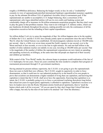roughly a \$100billion deficiency. Balancing the budget would, in fact, be only a "creditability" cosmetic in view of supranationalcontrolled international banking's superabundant monetary capability to pay for the ultimate \$6-trillion CIA's (Capitalism's Invisible Army's) rearmament goal. If the supranationals are unable to accomplish a U.S. budget balancing, then a consortium of the supranational, only-logos-identified entities will use its own credit card banking system and comfortably charge off to insurance its \$6-trillion armaments-acquisition program. But they don't want to play the game in that profitless manner. They want to do it through U.S. defense orders, which can pay handsome dividends throughout the process, making possible not only the continuance of all the corporation executives but the refunding of their capital expenditures.

Six trillion dollars! Let's try to sense the magnitude of that. Six trillion happens also to be the number of dollars the U.S.A. and the U.S.S.R. have already jointly spent on armaments since the end of World War II, when the United Nations was established. All electromagnetic radiation travels at 186,000 miles per second—that is, a little over seven times around the Earth's equator in one second, over to the Moon and back in four seconds, or over to the Sun in eight minutes. Six and one-half trillion is the number of miles radiation reaches out radially in one year, traveling at 186,000 miles per second. That is the magnitude of the number of dollars the supranational corporations are now intent on spending, and spending exclusively on killingry, at the same time that old people are deprived of their security and children go lunchless.

With control of the "Free World" media, the colossus hopes to postpone world realization of the fact of U.S. bankruptcy for ten years. Those ten years constitute the time needed to complete their program of rearmament procurement through U.S. government machinery.

Having attained its present military superiority, the U.S.S.R. is not going to give the supranationals those ten years to build their new offenses. The U.S.S.R. sought its superiority in order to force disarmament, so that it could turn its vast industrial productivity to the benefit of its own people to prove that socialism can demonstrate a higher standard of living than can capitalism, and knowing that capitalism is intent that the U.S.S.R. shall never have the opportunity. Knowing that capitalism is so intent, the U.S.S.R. is probably going to try to force a conventional warfaring showdown long before that critical ten-years-to-regain-parity opportunity is afforded to capitalism. Capitalism's recourse is to have its leaders move into the Rocky Mountain atomic-bomb-proof apartments, then to "push the button which ends it all for everyone." (If you are upset by that, don't forget that Critical Path does offer a happy, but only by-the-skin-of-our-teeth to be attained "out" from the dilemma.)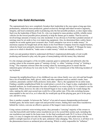# **Paper into Gold Alchemists**

The supranationals have now completely forsaken their leadership in the once-upon-a-long-ago-time, prohumanity, industrial mass-production, gained exclusively through individual inventive ingenuity, integrity, and local community pride in producing only the best possible products, as does Japan today. Such was the leadership of Henry Ford, Sr., who was inspired to mass-produce nofrills, reliable motor vehicles for the lowest possible prices primarily to help the farmer get to market. That his activity involved large amounts of money was only incidental. It was obvious to Ford that a prudent amount of earnings must be set aside to buy ever-improving equipment. Also, he determined that a safety-factor surplus be set aside against poor economic days. Ford's enterprise was never to make money." At enormous expense he bought back all the shares in his Ford Motor Company from his original backers, whom he found were primarily interested in making money. Henry, Sr., fought J. P. Morgan for many years as to which it should be, "make sense or make money," which are mutually exclusive.

Ford's son and grandson failed to understand old Henry's inspirational philosophy of real-wealth producing and learned to play only the game of moneymaking with the money they inherited.

It is the strategic prerogative of the invisible corporate giant to unilaterally and arbitrarily alter the scoring values in the economic game of "earning a living" vs. either "winning a living" or "tricking a living." The corporate colossus alters the scoring values by increasing prices to ensure that the industrial game will always be won only by the "richest." It is reminiscent of the following incident of my boyhood.

Amongst the neighborhood boys of my childhood was one whose family was very rich and had bought him a set of baseball bats, balls, gloves, mitts, and other equipment such as catcher's masks, base cushions, pneumatic catcher's belly protector, home plate—that is, the equipment for an entire team. Finding a suitable neighborhood field, he would attract a crowd of us. Eager to play, resplendent in his baseball uniform, he would announce the rules of baseball as we were to play it if we wanted to use his equipment. When, however, his side or he himself began to lose or play poorly he would change the rules, making his side's just-scored runs worth five of the earlier runs. If his rule-switching became unacceptable to the rest of us, as it often did, he would pick up all the playing gear, put it in his pony cart, and drive away.

Here is another example. In between the "halves" of an end-of-season championship professional football game, the home team's super-rich and powerful owners, finding their team three touchdowns behind the visitors, convene an effective quorum of the league's team-owners present.

Using various economic wrist-twisting tactics, they persuade a "carrying" majority of the owners to vote that henceforth until further notice touchdowns are to be scored thirty points each, including the one touchdown just made by the home team. As the final scoreboard reads 30-21 in favor of the home team, it is easy to imagine not only the consternation of the public over such unfair tactics but the public's outright rejection of such on the spot, unilateral value-changing. This, however, is all there is to the phenomenon known as unilateral price-advancing, Which is solely responsible for "inflation."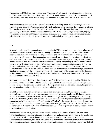The president of U.S. Steel Corporation says, "The price of U.S. steel is now advanced ten dollars per ton." The president of the United States says, "Mr. U.S. Steel, you can't do that." The president of U.S. Steel replies, "Not only can I, but I already have and that's that, Mr. President. Over and out!" Clonk.

Individual corporations within the economic power structure bring about inflation through unilateral priceadvancing, about the "reasonableness" of which unilateral score-changing the corporate greats use their media ownership to educate the public. They claim their price increase has been brought about by aggravating cost increases within their particular industry as well as by foreign competition, ergo by evolutionary events beyond the price-increasing management's control. To avoid antitrust action, the price increases are done by the great industrial corporations independently, one by one.

• • •

In order to understand the economic events transpiring in 1981, we must comprehend the rudiments of the financial securities world. The "abstract-being" corporation operating within the United States receives legal authority from state and city governments to sell common shares in "outright risk" ventures, to which common shareholders they promise only proportional sharing of cash profits from their economically successful operation. But corporations also receive legal authority to sell "preferred stocks," to the owners of which the corporation becomes legally obliged to pay a fixed annual rate of interest before distributing any of the profit to those corporations' common stockholders. If, however, the corporation has no annual profit, it has no obligation to pay interest to preferred stockholders. "Preferred" means first to be "paid off" at a fixed annual percentum rate out of net earnings, after which fixed percentum pay-off the common shareholders divide as much of the earned profit as the directors of the corporation feel can be distributed while also taking care of new-development expenses as well as safety-factor reserve fund set-asides.

If the corporate enterprise is to be liquidated, the preferred stockholders are to be paid off before the common stockholders. If the corporation fails, the preferred stockholder share in whatever equity may be left, but not so the common shareholders. If the corporation fails and no assets remain, the preferred stockholders have no further legal recourse, i.e., claiming rights.

In addition to the common and preferred stocks, both of which are outright risk-venture shares, corporations can raise initial, working, or expansion capital by issuing bonds, provided the corporation owns free and clear real wealth, that is, real estate or buildings and easily salable general machinery, such as machine tools, lathes, drill presses, etc., with which machinists produce special-purpose massproduction tools. The word real—of "real" wealth, of "reality"—developed from the Spanish word for "royal" or "royalty." The king or queen personally acknowledged truth. Real is what the socioeconomic power structure decrees it is. Real is, like the abstract legal-entity corporation, a legally accepted fiction —real estate equals royal estate.

Bonds are called securities, and their value is predicated upon the degree of probability that upon public liquidation of a company, the real estate, buildings, and machinery can be sold at the bonds' face value or more. While corporate bonds have priority over preferred and common stocks when corporations are liquidated, fail, or are sold, the bonds do not have priority of claim over those to whom the corporation is already indebted for goods, services, etc., nor do the bonds have priority over federal,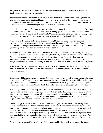state, or municipal taxes. Bond-owners have no share in the earnings of a corporation but do have fixed-interest priority over preferred stocks.

It is relevant to our understanding of securities to note that bonds other than those of tax-guaranteed federal, state, county, and municipal bonds have often proven to be less than secure. For instance, approximately all the railroad-company bonds of the U.S.A. were defaulted, i.e., became 100-percent unredeemable, in the economic depression of 1929 to 1933 and thenceforth.

Within the United States of North America, the right to incorporate is legally obtainable only from state governments and not from federal nor city, town, or county governments. If, however, corporation promoters wish to sell shares worth more than \$300,000 for capital expenditures before earnings, then the federal government's Securities and Exchange Commission must also give its approval.

Some states in the United States grant incorporation rights that are more workingly satisfactory to a given type of enterprise than the privileges granted to the incorporators by other states. Some state's incorporation privileges are extended to cover the corporation's operations in other states. Many states grant incorporation privileges only within their own borders.

In addition to the securities issued by corporations or by nonincorporated companies or partnerships, bonds are issued by towns, counties, cities, states, the federal government, and multi-state "authorities." Federal, state, county, and city (municipal) bonds have face declared maturity dates and clearly scheduled tax-collection commitments to cover both the yearly interest rates and the maturity repayments to the bond-holder. All such government bonds have prior right to funds produced by taxes.

In the world of securities—properties—represented by written documents that are legally recognized forms of negotiable monetary investments, there are also insurance policies, and in particular lifeinsurance policies.

Known in world history's earliest records as "bottomry," what we now speak of as insurance dates back to its practice in 4000 B.C. Babylon as the underwriting of merchant-ship voyages. This practice made it possible for wealthy individuals who were not shareholders in the original shipbuilding enterprise to participate at their own risk in the merchant-ship venturing, which when successful was fabulously so.

Historically, life insurance is a very recent form of the already wealthy humans' and their corporations' capital gambling, and does not begin until the industrial era of the late nineteenth and early twentieth century, when technology began to render humans' immediate physical environment more propitious for the protecting, support, and omni-accommodation of increasing numbers of human individuals, despite remote devastations occurring in the world's wilderness areas.

The technology of industrialization was first taken advantage of by the military specifically intent on how to more accurately kill more and more people at ever great distances in ever shorter periods of time. As a consequence, the technologically advanced nineteenth-century weaponry witnessed greatly increased war-wrought devastation, leaving more and more wounded to die on the battlefields. The medical world being as yet inexperienced and ignorant, the U.S.A. Civil War saw the highest ratio of deaths per battlefield-committed soldiers in all history. Due to medical ignorance, the U.S. Civil War also saw more wounded left unattended to die on the battlefield than in all other wars of known history.

When the U.S.A. entered World War I in 1917, it was asked by the British to replace all the line-of-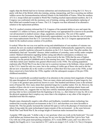supply ships the British had lost to German submarines and simultaneously to bring the U.S. Navy to parity with that of the British while also training, arming, transporting, and Navy-escorting one million soldiers across the Germansubmarine-infested Atlantic to the battlefields of France. When the numbers of U.S.A. troops killed and wounded in World War I battling reached unprecedented numbers, the U.S. Congress was confronted with the enormous cost of training, arming, and transatlantic-replacing of their killed and wounded troops in France. The U.S. Congress was then informed of an alternative solution to the replacement problem.

The U.S. medical scientists informed the U.S. Congress of the potential ability to save and repair the wounded U.S. soldiers in France, provided enough money was appropriated for a known-to-be-possible vast advancement in medical science: drugs, equipment, and practice. The cost of this capital investment in medical science, though historically unprecedented, was far less than the cost of entirely new troop replacements from the U.S. Convinced of these facts, the U.S. Congress appropriated the funds for the medical-science solution of its problem.

It worked. When the war was over and the saving and rehabilitation of vast numbers of veterans was realized, the new-era medical establishment was not disbanded. Enthusiastically supported by citizens in general, scientific medicine refocused its attention on the U.S.A. home front. One after another, the immediately fatal and "incurable" diseases, lethal conditions of yesterday, came swiftly under complete control. Medical information regarding further curing and effective anticipatory avoidances was enormously expanded in the late 1920s. It was discovered in the late 1920s that the area of highest mortality was the period of childbirth and its first ensuing four years. This brought successful coping with these initial years' fatalities into general effectiveness in the 1930s. The seeming population explosion after World War II was due in fact not to a postwar increase in the birthrate, whose small rise in the U.S.A. lasted for only two years, but to the coming of visible age of those who used to die but did not now or hereafter die in the womb or at birth or within their first four years in the 1930s, as had those conceived or born before the 1930s, together with the subsequent escapees of the pre-1930s childhood mortalities.

There is no scientifically accredited manifest of an alteration in the extreme-limit magnitude of human life-span throughout all recorded history. There are many claims and assertions of great longevity, but 113 years is the greatest span positively known to exist. One hundred and thirteen years is the terminal norm of human life. How many attain their potential longevity is another matter. Few do. However, the number of those who do is now increasing. Quite clearly, the ability to substitute plastic bones and mechanical hearts, etc., suggests that we may have entirely inanimate physical human mechanisms, proving what we have contended from the beginning to be true, i.e., that whatever it may be, life is not the physical equipment that it employs any more than is the telephone or any other of the integral or detached tools that life employs.

Despite many dramatically negative side-effects and feedbacks, twentieth-century technology has rendered the everyday physical environments in the U.S.A. and elsewhere ever more favorable to human life. This has greatly increased the realized life-span as well as the physique of Americans and others living under the same technological improvements of the environment—in the years between World War I and World War II, the average height of American males increased four inches.

A popular 1900 song said, "A dollar a day is very good pay when you work on the boulevard." Two and a half dollars per fourteen-hour day was the pay for my own first pre-World War I job in New York City with one of the great meat-packing companies, \$15 a week (\$880 a year), and I was able to live happily but frugally on it. I was married in 1917, and as an ensign U.S.N. in the U.S. Navy's European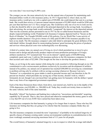war zone duty I was receiving \$1,800 a year.

The younger you are, the more attractively low are the annual rates of payment for maintaining each thousand dollars worth of a life-insurance policy. In 1917 I figured that if, when I died, my life insurance policy would give my wife a capital sum of \$50,000, she could deposit that sum in a savings bank. She would then receive a 4 percent annual interest payment of \$2,000 which would be \$200 more per year than had been our U.S. Navy ensign's pay. She would have only one of us two to look out for, so that she should be able to save and add to the principal deposited in the savings bank. According to their advertising, the savings bank would continually "compound" the interest on the deposited amount. That was the economic picture presented to me in 1917 by the so-called honest businesses and the deeply respected banking world. Prudential Life Insurance Company depicted itself as "Secure as the Rock of Gibraltar." So I bought \$50,000 worth of life policies. For my World War I zone activity of eighteen months duration I was given a bonus of a fully paid \$5,000 of life insurance payable to my heirs at my death. The life-insurance company's sales talk failed to anticipate the great deflation of the individuals' dollars, brought about by moneymaking business' greed increasing the prices of products and services whose physical costs were technologically ever decreasing.

A third of a century later, my annual cost of living at a level which permitted me to travel to give lectures and to design and physically produce improved mass-production prototypes of livingry artifacts reached my 1917 assumed total "live-on-its-interest" capital equity of \$50,000 being completely spent each year. I sold my life-insurance policies to the life-insurance companies for their then accrued cash value of \$22,000. (This bought me the time to develop the geodesic domes.)

Today, as yet living in the same manner while doing the work essential to following through on my life commitment to solve socioeconomic problems exclusively by invention and development of artifacts instead of by politics, my annual cost of operation has reached \$300,000 for servicing my commitment to problem-solving only by artifacts with no savings accruing whatsoever. Because I am not a "business" or a corporation my gross intake is rated as personal income and I am therefore in the 50 percent tax bracket, which precludes my saving any of that income, should I wish to, which I fortunately do not; though I am convinced that I am getting more for humanity with the dollars I spend than is any form of tax-supported government expenditure.

Each of the three Dymaxion three-wheel, front-drive, rear-steered cars, built by me in the depths of the 1930s depression, cost \$28,000, i.e., \$84,000 in all. Today they would cost twenty times as much for the same vehicles, built of the same materials.

Boastfully "ethical" big business and banking have reduced my "necessitous and desirable" acquiring capability by 95 percent. That is, they have priced and otherwise manipulated the money game in such a way that \$95 out of every \$100 I have earned has been taken away.

Life-insurance companies bet that humanity is going to live longer than it expects. Those who buy life insurance are betting that they are going to live shorter than the insurance company thinks they are going to live.

The life-insurance companies invented the term "expectancy" of probably-to-be-realized longevity of specific classes of humans existing under various environmental conditions in contradistinction to the (now workingly assumed) unvarying maximum limit of 113 years for all people.

The overall history of humanity's attained longevity is one in respect to which the average individual's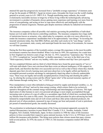attained life-span has progressively increased from a "probable average expectancy" of nineteen years of age for the people of 5000-B.C. Egypt (at sixteen years, Alexander the Great was the world's leading general) to seventy years in A.D. 1980 U.S.A. Though manifesting many setbacks, the overall evolutionarily inexorable increase in longevity of those living within the technologically advancing environment is a product of humanity always gaining more experience and learning ever more from its errors of conceptioning, and acting on how to cope more effectively and intelligently with the progression of natural exigencies. Humans gain despite enormous setbacks by industrial environmentpolluting.

The insurance companies collect all possible vital statistics governing the probabilities of individual human survival under all the known controlling conditions. The insurance companies have large staffs of statisticians known as actuaries, who, aided today by computers, are able ever more effectively to render the insurance corporations' stockholders bets to be approximately "sure things." In investing the insureds' premiums today, they find IBM, DuPont, and other such stocks to be "sure things," and taxsecured U.S. government, state, county, and municipal bonds the most risky of investments, for reasons we will later examine.

During the first three-quarters of the twentieth century, average life-expectancy in the most favorable environment countries has almost doubled. When I was born in 1895, life expectancy for a male born in New England was fortytwo years of age. On July 12, 1933, I passed my "expectancy day." On July 12, 1979, I completed my "second lifetime" or double expectancy. I am now in the third year of my "third-expectancy lifetime" and am very healthy, with a new stainless-steel hip I have just acquired.

My two completed lifetimes and my third of a third lifetime have found the great majority of "savvy," well-todo individuals I have met convinced that there exists an inherent inadequacy of life-support on planet Earth, and therefore that their own successful survival as well as that of those whom they cherish depends upon their cleverly learning more and more about how to be legally selfish and thereby to accomplish personal economic advantage by anticipatorily depriving others in directly undetectable ways. These ways are legally and socially accepted practices of deceiving and cheating the public e.g., by altering the scoring system and the official "game rules" of the accrued monetary equities of other humans through zoning laws, "etc." x 1010 ways.

Price manipulation is most often defended as being governed by supply-and-demand variables, i.e., by what the traffic will bear" and not by time-energy costing, which science finds to be exclusively operative throughout all the constant energy-transformings and interchangings of Universe. This legal deprivation of other humans to one's own personal advantage is most simply accomplished through increasing rents or prices of a cup of coffee or a secondrate cigar (both of which have escalated during my lifetime from five cents to fifty cents). The powerful social precedent for price-advancing has been initiated by nonperishable mine and oil-well owners and those other prime industrial producers, the physical cost of whose products, measured in ergs of energy per hour and pounds of coal or petroleum per pound of manufactured goods, has steadily decreased.

The acceleration in technological enhancement of the living environment apparently accounts for marked lifeexpectancy increases in post-World War I Canada, U.S.A., Sweden, Australia, United Kingdom, New Zealand, Netherlands, Japan. In these countries in 1968 the value of life-insurance policies in force exceeded their respective gross national incomes. In the U.S.A. in 1970 there were 355 million life-insurance policyholders. This being more policies than citizens meant that many citizens hold several policies. In 1970, the assets of 1790 U.S. Iife-insurance companies totaled 208 billion dollars.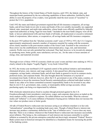Throughout the history of the United States of North America, until 1952, the federal, state, and municipal bonds guaranteed by the tax-collecting capabilities of those authorities, fortified by their ability to seize the property of tax evaders, were generally rated the most secure of "securities" to protect the U.S.A. population.

Until 1952 the states and federal government required that all life-insurance companies, all savings banks, and all trust funds invest only in notes and bonds of the ever-suitably-increasable, tax-supported federal, state, municipal, and multi-state authorities, whose bonds were officially qualified by federally supervised authorities as being "legal for trust funds." Included in the trust-funds category were all the bank- or lawyer-administered wills and trust funds of all kinds, all employment or executive retirement funds of corporations, labor unions, or cooperatives, all savings banks and life insurance companies.

In the post-1933 pullout from the "absolute economic crash" years of 1929 to 1933, the U.S. Congress approximately unanimously enacted a number of measures essential for coping with the economic errors clearly manifest in the post-mortem studies of the Great Crash. Essential to the correction of those errors was the establishment of absolutely interconstant price, wage, rent, and interestrate controls. Profits were not only permitted but welcomed. They had, however, to be inventively attained by producing more, better goods, more satisfactory services, etc., for the same or lesser amounts of energy, time, and materials invested.

Thorough review of those 1930-42 economic climb-out years' events and their utter undoing in 1952 is clearly related in the chapter "Legally Piggily," in my book Critical Path.

In 1952, the twenty-year moribund G.O.P. regained control of the political initiative and immediately eliminated all price, rent, interest, and wage controls. It also passed laws allowing insurance companies, savings banks, retirement funds, and all trust funds in general to invest in common stocks, preferred stocks, and corporate bonds. This also brought about the formation of a myriad of investment-trust funds. It did not, however, allow the U.S. government or any of the states, counties, or municipalities to invest the enormous Social Security automaticallytax-collected individual worker's funds or any other of its future-committed economic-responsibility funds to be invested in any other than its own U.S.A. government, state, county, or municipality dollar-savings-accounts, whose purchasing equity was being ever depreciated by inflation.

With wholesale industrial prices freed to escalate (though protested against by the U.S. Eisenhowerthrough-Carter presidents), retail prices, wages, and corporate share prices as traded on the stock markets swiftly escalated in response. So-called inflation was inevitable. What the colossus' media call "inflation" is of course deflation of humanity's buying power. Inflation does not increase the true values nor produce more or better goods.

All talk of Federal Reserve rediscount-rate-increases acting as an inflation retardant is in fact only "rationalization" camouflage for escalating bank usury rates. Though a Federal Reserve interest-rate increase may produce a momentary deflection in the "rate of inflation curve," it never does any more than that. There is no evidence whatsoever that Federal Reserve rediscount-rate-increases successfully arrest inflation. This being so, the continuance of such interest-rate increases ostensibly to combat inflation as actuated by the private-enterprise-controlled and deceivingly misnamed "Federal" Reserve Bank system must in historical retrospect be identified as a fraudulent means for increasing the profits of the banking system.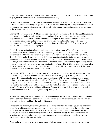When Nixon cut loose the U.S. dollar from its U.S. government 1933-fixed (\$32-an-ounce) relationship to gold, the U.S. citizen's dollar equity declined precipitously.

The last third of a century of overall stock-market priceadvances, in direct correspondence to the role of inflation in business pricings in general, has produced ever widening but false gaps between people's government fund equity values and the portfolio of world-around stockmarket values of the securities of the private-enterprise system.

Had the U.S. government in 1952 been allowed—by the U.S. government itself, which did the granting —to invest their Social Security and other appropriated funds in Fortune's leading one hundred corporations' common shares, as were all the fund managers of all the within-the-U.S.A. trust funds, life-insurance companies, and investment trusts with their funds, the 1982 value of the U.S. government-tax-collected Social Security and other funds would permit the U.S.A. to extend all manner of social benefits to all its people.

Hopefully, to prevent unilateral price manipulation the original value of the U.S. government taxcollected Social Security funds was price-locked into gold at \$32 an ounce. This was done when approximately all the world's monetary gold bullion was stored in the U.S. Treasury's Fort Knox, Kentucky Hills vaults. It was then that the U.S. government contracted with its working citizens to provide each with post-retirement Social Security, to be purchased by them—as with all life insurance —by payments deducted from their wages and salaries and originally matched by equal sums paid for by the employers, all paid to the government in the form of taxes. The first Republican presidency after the New Deal allowed the employers to write off their share of this by allowing them to deduct it as operating expense before calculating annual taxes.

The January 1982 value of the U.S. government's up-tothe-minute paid-in Social Security and other tax-collected, government-committed funds are now stashed away only in ink figures in the U.S. Treasury Department books, completely bereft of that fund's \$32-per-ounce linkage with gold, as arbitrarily severed by the Republican president of the United States without authority from the U.S. Congress and only on the advice of media-unidentified non-government "others" with whom he met in a secret two-day conference on Minot Island in Gilkey's Harbor, Islesboro (a Penobscot Bay, Maine, island), after most of the gold had been withdrawn from the Kentucky Hills vaults to meet negative international balances of trade brought about by oil imports.

If, since their inception a half-century ago, the tax deductions for Social Security had been invested in leading common stocks by a consortium of Merrill Lynch-grade investment houses, the majority of U.S. senior citizens would now be multimillionaires.

The advertising industry, the brokers, the banks, the conglomerates, the shipping business, and labor unions have all insinuated their money-making or wage-equity equalization into the complex priceincreasing. All the while, the actual basic costs of nature's cattle's calves' hide-making from the photosynthetically Sun-impounded hydrocarbon-rich vegetation energy has not increased one iota. Inventors have greatly reduced the manufacturing costs accomplished only by machinery whose installation costs require large capital sums.

What we have experienced are ever larger sums of other's money being commanded by the money-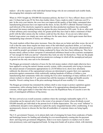makers—all at the expense of the individual human beings who do not command such sizable funds, discouraging their enterprise and initiative.

When in 1920 I bought my \$50,000 life-insurance policies, the best U.S. Navy officers' shoes cost \$4 a pair. Civilians had to pay \$5 for first-class leather shoes. Fancy, made-to-order Cordovans cost \$7 a pair. In the sixty-year interim, the cows have not improved the quality of their hides; automated shoemanufacturing processes have not improved the shoes. In fact, the BTU's (British Thermal Units) per each kilowatt of the electricity required to operate the shoe-production machinery has continually decreased; but money-making business has gotten the price increased to \$50 a pair. To do so, after each of their arbitrary price-increasings solely for greater profit they have had to share a minimum of their profit with the labor unions else the workers could not buy the shoes. If you are not a labor-unionbacked wage-earner you simply pay more and more for the same shoes, which again means that those manipulating large amounts of money are robbing you.

The stock markets reflect these price increases. Since the shoes are no better and often worse, the net of it all is that the same shoes require ten times more of the individual's paycheck dollars, so I am being robbed by the system and my government is unable to protect me; in fact, the present administration of my would-be people's government is being conducted by those who have been robbing me. They have become utterly callous in their viewpoint of rationalized selfishness based on the economic assumption of "not enough for both you and me" wherefore they look out only for themselves. These are the people who are even now maneuvering toward an atomicwar exchange in which all the unemployed and poor in general are the only ones sure to be eliminated.

The Reagan government's reduction of taxes for the rich money-makers which might otherwise have been applied to saving the nation's human security system, while concurrently also trying to increase the annual amount of armaments appropriations to a \$150 billion level, shows how absolutely ruthlessly the directors of the supranational colossus are determined to acquire their own superarms protection against communism while realistically making hundreds of billions of dollars a year manufacturing their armaments while also ruining the lives (slow murdering) of many millions of U.S. citizen workers to whom the U.S. government has sold the insurance of oldage and health-security benefits. Nixon's cutting loose of the price anchorage betrayed all non-wealthy U.S. citizens.

The Reagan government has reinstated the military draft to raise troops to protect capitalism against communism, while refusing funds to bury the bodies of its appropriations-abandoned deceased veterans, which again makes it clear that what was once the Republican Party of Lincoln is now the party of unmitigated selfishness of big money.

We have arrived at an overall economic condition where the seemingly inalienable rights of U.S. citizenship can be enjoyed only if one is the owner of an amount of stocks whose dividends exceed \$50,000 annually per individual at the present level of dollar depreciation. The very word "inflation" is a deliberately deceptive term adopted to exploit the easily misguided human reflex conditioning. It was spontaneously chosen to obscure the fact that all nonholders of corporate shares are being legally robbed.

The U.S. government Treasury, in its almost daily task of arranging for loans from syndicates of banks and brokerage houses for funding and refunding its ever-morefrequently-coming-due-for-payment short- and long-term government obligations, finds it ever more expensive to market even its shortterm promissory notes and longerperiod bonds. Its long-term bonds sell at prices which, with interimly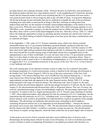accruing interest, have ultimate monetary yields—between the price at which they were purchased in the financial market and their face-value maturity payoff—in the neighborhood of 18 percent, showing clearly that the financial-market world is now assuming that the U.S. government will soon reach a crisis point beyond which it will no longer be able to pay off either its short- or long-term obligations. All the big brokerage houses and banks that join in syndication to handle the sale of the governmentrefunding-note sales make so much profit in doing so that they will keep on risking their joint underwriting until they see the moment of formally acknowledged bankruptcy of the nation to be less than a year away. When the score reads one trillion and a half, with a debt increasing regularly at over 100 billion a year, somebody is going to see that the emperor has no clothes and when they shout out to that effect, there will be a swift world acknowledgment of the fact. Then they will try "Title 13," which allows the bankrupt organization to keep on operating and thus terminate any and all risks of private enterprise—for which risking on behalf of human gains it has been given the many considerations such as corporate privileges.

In the September 1, 1981, sales of U.S. Treasury ninetyday notes, which were almost certainly redeemable before any U.S. government bankruptcy payment-defaults, produced yields that were momentarily higher than the earnings on many high-grade corporate shares. Until the summer of 1981 these short-term, high-yield government notes had been sold only in minimum lots, the prices of which have been beyond the everyday buying scope of individual citizens but at negligible prices to the supranationals or any of their world banks. It is now far more risky to buy U.S. government securities than it is to buy shares in what once was risk capital's economic venture corporation shares. There is nothing in the words or spirit of the U.S. Declaration of Independence or U.S. Constitution which states or suggests the U.S.A. is committed exclusively to the success of the rich. The U.S.A. we have known is now bankrupt and extinct.

The swift coming-apart of our national economic system to make way for evolution's inexorably developing integration of a world socioeconomic system is manifest in the full-page advertisement in the Sunday New York Times (August 9, 1981) by one of the most conservative of the New York savings banks: "18% Interest Starting Now. Up to \$2,000 Tax-Free Interest Starting Oct. 1." For this same interest rate, Dime Savings Bank required an investment of \$5,000. Twenty similarly unprecedented savings-bank ads appeared in the same financial section. Before 1980, U.S. savings banks had paid in the range of 4-percent interest. The following week, that of August 16, the same plethora of bank advertisements appeared, with the percentage increased to 25 percent. By the week of August 23, the advertisements had advanced their offer to 40 percent interest. This was, of course, the correctly calculated percentage of gain, but misleadingly employed. The percentage represented "yield to maturity" in respect to the low August purchasing price of U.S. Treasury notes maturing on October 1, 1981, whose depressed market value indicated not only the imminence of U.S.A. bankruptcy, but the expectation that this particular set of U.S.A. "refunding notes" at ever higher interest rates and on ever shorter maturity terms would in all probability be redeemed before common recognition of the outright bankruptcy. The advertising was deliberate and mischievously misleading in that it implied a continuing 40-percent interest rate if you deposited several thousand dollars— whereas the interest advertised was to accrue only until October 1, 1981. The advertisements failed to clearly communicate that the interest rate after October 1 would be a customary savings-account rate. The advertisements were hoaxes to acquire savings deposits, which the bank could loan out at much higher rates of interest.

At this point in our review of how economic and other social conditions have evolved to such a threateningly devastating future outlook for many if not all humans, we wish to recall that inexorable cosmic evolution is intent on integrating all humanity in one global government and, therefore, on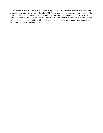eliminating all of planet Earth's nations and on doing so in a hurry. The most difficult of all the world's sovereignties to eliminate is clearly that of the U.S.A. We recall having forecast this termination of the U.S.A. at least fifteen years ago. The 150 nations are 150 clots in the economic bloodstream of our planet. The headlong rush into the atomic holocaust is in fact a far more threatening development than the natural economic demise of the U.S.A., which in fact may be viewed as simply a selfremovingplanetary-economics-blood-clot event.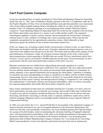# **Can't Fool Cosmic Computer**

It must be remembered that, as clearly elucidated in Critical Path and Operating Manual for Spaceship Earth (The July 31, 1981, issue of Publisher's Weekly reported on the first U.S. publishers' trade fair in the People's Republic of China. Over six hundred publishers and eight thousand titles were represented, with several million English-reading Chinese attending the exhibit in six cities. Elaine Frumer, a member of the U.S. delegation reporting in an accompanying article entitled "What the Chinese Looked At," listed Operating Manual for Spaceship Earth first on the list she compiled of the ten books the Chinese showed the most interest in.), money is not wealth and that wealth is the organized technological capability to protect, nurture, educate, and accommodate the forward days of humans, whereas money is only a medium of exchange and a cash accounting system. Money has become completely monopolized by the supranational-corporation colossi, which inherently as legal abstractions ignore the problem of how to protect and nurture human lives.

In the very largest way of looking at planet Earth's socioeconomic-evolution events, we must observe that humans are designed with legs and not roots. Yesterday, humanity developed temporary roots as it cultivated its life-support food root-grown on the land. The metals made possible metal canning of food and mobilization of machinery. Today, all of human existence depends on the swift, world-around intercommunication system operating at 186,000 miles per second. We have transformed reality from Newton's "at rest" norm to an Einstein's 186,000-miles-per-second norm. Socioeconomically we have synchronized with the omni-intertransformative kinetics of the entire Universe.

Planetary economics has now shifted from a physicalland-and-metals capitalism to a strictly metaphysical, omniplanetary, omnicosmic-wealth know-how capitalism. The once noble and essential but now obsolete nations belonged to the rooted socioeconomic land-capitalism era of humanity. In reality, humanity is now uprooted kinetically and occupying the whole planet. Capitalism is dumping its immobile real estate and depending on science to synchronize its affairs with the invisible realities, misassuming, however, that science knows what it is all about. To successfully dump all its real estate, capitalism has all but ceased "renting" and through enforced selling of "cooperatives" and "nothing else but condominiums" is forcing the citizenry into anchored exploitability, while it is always increasing the corporate deployability and mobile shift-about-ability around the world.

Since science and human inventiveness are continually learning how to produce ever more, and ever better performance, for each ounce of material, erg of energy, and second of labor and overhead time invested in any and all of industry's production functions, the real cosmic costs are always and only decreasing, and all price-increasing, as already noted, is corporate selfishness "gotten away with by political-campaign obligations and by excruciatingly painful, behind-the-scenes corporate lobbyists' congressional bullying.

In 1940, two years before the U.S.A. entered World War II, the president of the Aluminum Company of America became interested in my use of corrugated aluminum in the Dymaxion Deployment Unit, which was the little, mass-producible, autonomous, one-room dwelling machine that I had developed for a group of Scottish leaders, intent on anticipating the wholesale bombing of England's industrial cities, who had proposed accommodation of the surely-to-be-displaced population in thousands of my Dymaxion Deployment Units to be installed on the Scottish moorlands. I was developing these deployment units at Butler Manufacturing Company in Kansas City. I was doing this by converting Butler's mass-production, twenty-foot-diameter, galvanized-steel grain bins into an autonomous,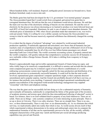fifteen-hundred-dollar, well insulated, fireproof, earthquake-proof, kerosene-ice-boxand-stove, Sears Roebuck-furnished, ready-to-move-into unit.

The Butler grain bins had been developed for the U.S. government "ever-normal-granary" program. The Alcoa president hoped that I would switch from corrugated, galvanized iron grain bins to corrugated aluminum bins. He told me that the cost of aluminum would always decrease. He said that the main cost was that of the electrolytic refining of bauxite ore into aluminum. He said the cost of electricity for the process was always decreasing as we learned to produce ever more kilowatt hours per each BTU of fossil fuel expended. Aluminum, he said, is one of nature's most abundant elements. The wholesale price of aluminum in 1940, when Alcoa's president made that statement to me, was twelve cents per pound. Today it is selling for over a dollar a pound, not because the Alcoa president was wrong in what he said but because massively organized selfishness has dishonestly changed the scoring system.

It is evident that the degree of technical "advantage" now attained by world-around industrial production capability, if realistically appraised and articulated, now shows that all humanity has just reached a state of comprehensive technical advantage adequate to provide a billionaire's level of living on an indefinitely sustainable base for all of the over four billion human passengers now aboard Spaceship Earth (see Critical Path). The world's economic accounting system, if properly entered into the world's computers, will quickly indicate that comprehensive economic success for all humanity is now realizable within a Design Science Decade. All it takes is shifting from weaponry to livingry production.

History's unprecedentedly large and invisible supranational Grunch of Giants being too supra- and infra-visibly large to be sensitively comprehended, it is difficult to surmise and accredit that the almost omni-computerized giant may be evolution's agent of most effective establishment of a worldembracing socioeconomic system most logically suited for the mass-production and distribution of its products and services to economically successful humanity. It could well be that the total-worldinvolved, supranational giant corporations' computer operations might, to their corporate directors' astonishment and to popular surprise, lead the Grunch into profitable discard of all that is not true, as for instance that anybody owns anything. Commonly acknowledged operational custodianship and popular reaccreditation of the integrated world-around technology management may supplant "ownership" with Hertz and telephone-renting.

The way that the giant can be successfully led into doing so is for a substantial majority of humanity, and eventually all humanity, realistically to comprehend the falsity of the greater part of the inventory of academic premises and axioms upon which the thus misconditioned reflexing of educated" society is based. For instance, there is no God-validated deed to property of any kind whatsoever. There are no solids. There are no things—only systemic complexes of events interacting in pure principle. There is no up or down in Universe. There is no cubic structure. There are no straight lines. There is no one-, two-, or three-dimensionality. There is only four- or six-dimensionality, etc. As we eliminate that which isn't true, we inadvertently admit into reality that which is true. As world society divests itself of that which experimental evidence demonstrates to be untrue and embracingly enters into its computer the mathematical formulae of all that can be experimentally proven to be true, all the socially, selfishly malignant characteristics of the giant may vanish and theomni-pro-social-advantage-producing capabilities may prevail and flourish.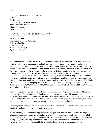• • •

FIFTEENTH-TO-NINETEENTH-CENTURY GIANTS' OATH Fee-fie-fo-fum I smell the blood of a Britishman Be he alive or be he dead I'll grind his bones To make my bread.

TWENTIETH- TO- TWENTY-FIRST-CENTURY GIANTS' OATH We-Fort-five-hun Steal kudos and credit American Be it live checking Or savings "dead" We knead their dough For dividend bread.

• • •

Each of the giants of today's great Grunch is a quadrillionfold more formidable than was Goliath. Each is entirely invisible, abstract, and completely ruthless—not because those who run the show are malevolent but because the giant is a non-human corporation, a many-centuriesold, royal-legal-advisorinvented institution. The giant is a so one-sidedly biased abstract legal invention that its exploitation by the power structures of thirty generations have made the XYZ corporations and companies seemingly as much a part of nature as the phases of the Moon and clouds of the sky. Corporations operate on an unnatural economic basis that makes a successful Las Vegas roulette bet a trifling success. If you bet your money on the fortunate corporation, your bet is paid and repaid to you quarterly, continually, ad infinitum, often more copiously each year. Assuming an investment of 100 shares at a cost of \$2,750 in I.B.M. in 1914 when the company was first formed, it would have grown by June 1959 to 59,320 shares values at \$19,308,900, plus \$1,089,000 in cash and stock dividends and an additional \$101,906 from rights and privileges.

As I have frequently recalled, the grossly mis- or underinformed, 95-percent-illiterate world society of 1900 misassumed the existence of a fundamental and dire inadequacy of life-support to be operative on our planet, wherefore it concluded, and the political-economic system as yet maintains, that it has to be only one or the other of the planet Earth's two great political ideologies which can survive, and that all the people governed by the loser must perish—"there is not enough for both."

The now-predominantly-literate world population of 1981 has developed an intuitive awareness of the illogicality and even madness of all political systems.

All the foregoing inadequate life-support misassuming by both political parties and all the major religious organizations, as earlier noted, has resulted in both sides having jointly spent six and a half trillion dollars in developing the present capability to destroy all humanity within one hour. Humanity at large is logically intuiting that the same sum spent in the direction of improving the lives of the presently deprived many might readily have brought about better results than race suicide.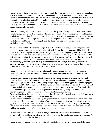The awareness of the emergence of a new world society has been only intuitive, because it is actualized only by a superficial knowledge of the overall integrated effects of an almost entirely nonsensorially contacted invisible reality of electronics, chemistry, metallurgy, atomics, and astrophysics. The epochal events of humans landing on the Moon, satellite-relayed "instant" around-the-world information, and an exclusively direct Sun-powered, Paris-toLondon flight are altogether reorienting world-around humanity's intuitive thinking into the realization that we can now do so much with so little that we can indeed take care of everybody.

There is a deep urge on the part of vast numbers of world "youth"—irrespective of their years—to do something right now about their intuition, which develops an impatience and ever more volatile group psychology. There is therefore an urge toward open physical revolt even amongst some of those who do know there is a bloodless, design-science, revolutionary option to attain socioeconomic success for all. The hotheads want to yield to their impatience. To those who urge us to join forces in bloody revolution, I reply as follows.

Before humans could be designed to occupy it, planet Earth had to be designed. Before planet Earth could be designed, the solar system had to be designed. Before the solar system could be designed, galaxies had to be designed. Before special-case galaxies could be designed, special-case macro-micro Universe, all its atoms and molecules, gravity, and radiation had to be designed. Before any realizable designing was possible, it was cosmically necessary to discover and employ the full family of eternally coexistent and synergetically inter-augmentative, only-by-mathematical-equations expressible, intercovarying, generalized principles governing the generalized design of eternally regenerative scenario Universe. And before all recognition of the eternal generalized principles and their inherent design-science functions, it was further necessary to have:

The design of an eternally regenerative, radiationally expansive and gravitationally contractive, everywhere and everywhen complexedly intertransforming, nonsimultaneously episoded, scenario Universe.

The generalized design of galaxies of entropic matterinto-energy as radiation-exporting stars and generalized star systems of planets serving syntropically, as radiation-into-matter importing planets. The design of planet Earth as the Sun-orbiting, biosphere-protected, and oxygen-atmosphere-equipped incubator of DNA-RNA design-controlled biological life and of that life's photosynthetic conversion of entropic radiation into syntropic, orderly hydrocarbon molecules and a vast variety of hydraulically compressioned, crystallinely tensioned, exquisitely structured biological species omni-interregenerating as an ecological omni-life and human-thinking support-system.

The eternal mathematics—numbering and structuring. The eternally extensive mathematical spectrums of frequencies, wave lengths, and harmonic intervals.

Only thereafter could those human beings progressively re-evolutionize exclusively by trial-and-error enlightenment, from their born-naked state of absolute ignorance, to discover their scientific-principleapprehending minds and thereby (now for the first possible moment in history) to glimpse humanity's semi-divine functioning-potential as local-Universe critical-information-gatherers and local Universe problem-solvers in support of the integrity of eternally regenerative Universe.

Only now for the first time can we human beings effectively revolutionize society in an adequate degree to fulfill what I have identified in Critical Path as being the number one objective of humanity's inclusion in comprehensive evolution.

The generalized principles have always—eternally existed and have always been available for each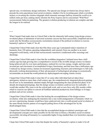special-case, revolutionary design-realization. The special-case design revolution has always had to precede the extra-specialcase local social revolution, whether it be by inventing guns which overwhelm archery or inventing the wireless telegraph which transmits messages halfway around the world at six million miles per hour, making utterly obsolete the Pony Express and its concomitant "Wild West" socioeconomic behavior-patterning. The greatest evolution-producing revolutions are complex and take the longest to be realized.

### • • •

What I hoped I had made clear in Critical Path is that the inherently half-century-long design sciencerevolution phase of attainment of universal economic success has been successfully completed and now needs only the bloodless socioeconomic reorientation instead of the political revolution to exercise humanity's option to "make it" for all.

I hoped that Critical Path made clear that fifty-three years ago I anticipated today's transition of humanity from 150 nations operating independently and remotely from one another to an omniintegrated world family, with all that socioeconomic transition's conditioned-reflex stressings and shockings.

I hoped that Critical Path made it clear that the worlddata integration I initiated more than a halfcentury ago has kept growing into a comprehensive record of the invisible design-science revolution being achieved only by ever more performance, realized for ever less energy, weight, and time units invested per each increment of accomplished livingry functioning; and that more than a halfcentury ago I reduced my design-science, human-environment-augmenting structures and technologies to full-scale, physically working demonstrations of their advancement of technological advantage to economically accommodate an around-the-world pulsatively deployingand-converging, kinetic society.

I hoped that Critical Path made it clear that if I or some other individual had not taken these anticipatory initiatives more than a half-century ago, the comprehensively integrated physical-gainingfor-all now to be immediately attained simply through inaugurating the mass-production phase of its already developed prototypings, then the design science revolution could not now be realizable—it would take another fifty years to do the critical path work, and we now have only fifty months within which to exercise our option to convert all Earthian industrial productivity from killingry to livingry products and service systems.

I hoped that Critical Path made it clear that lacking the accomplishment of the design-science revolution, while also undergoing the transition into a one-world amalgamation of humanity which we are now experiencing, humans would have been catalyzed only into a world-around social revolution of the same bloody historic pattern of revengeful pulling down of the advantaged few by the disadvantaged many.

I hoped that Critical Path made it clear that the accomplished design-revolution's prototypes and developmental concepts now make possible for the first time in history a bloodless social revolution successfully elevating all humanity to a sustainable higher living-standard than ever heretofore enjoyed by anyone.

I hope that Critical Path made it clear that despite the reality of humanity's option to make it for all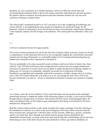humanity, my own conclusion as to whether humanity will do so within the critical time and environmental development limits is that it will remain cosmically undecided up to the last second of the option's effective actuation, knowing that beyond that imminent moment lies only the swift extinction of humans on planet Earth.

The critical path I committed myself to in 1927 was and as yet is that of applying all technology and science directly to accomplishing the mass-produced components for advanced livingry for all humanity, instead of continuing to invest the advanced science and technology inadvertently falling out of the weaponry industry into the livingry tools industries. This critical path was inherently a fifty-year path.

• • •

I will now summarize the last few pages quickly.

The social revolution potential now can for the first time in history realize economic success for all and a comprehensive world enjoyment that involves not revengefully toppling the economically successful minority but elevating all humanity to a sustainable higher level of existing and interacting than any humans have heretofore either experienced or dreamed of.

The now-potentially-to-be-omni-successful social revolution could never before in history have been realized. Until 1970 there had always been enough physical resources but not enough metaphysical resources (of experience-won know-how) on our planet to render the physical technology capable of taking care of everyone at a sustainable, eminently successful level of physical well-being bloodlessly accomplished and sustainable without the coexistence of either a human slave or working class. Until 1970 it had realistically to be either you or me, not enough for both. Since 1970 it has become realistically you and me—all else is automated acceleration to human-race extinction on planet Earth.

• • •

As we know, when the on-foot soldiers at Crècy stuck their pikes into the ground, points slantingly upward and forward, to impale the bellies of the advancing charges of cavalry, it was social revolution, brought about by designscience revolution. Thus armed with their newly-sciencedesigned pikes, the long-overwhelmed many on foot began to gain emancipation from being overwhelmed by the horsemounted few. Design did it.

Both the word revolution and the words social revolution have many meanings, from that referring to the mechanical revolutions of a wheel to the social changing of life-styles which occurred when the horse-mounted and -carriaged few, with their many on-foot servants, stable boys, grooms, coachmen, and the vast slums they drove through were almost entirely design-science-obsoleted by the automobile-mounted many covering vastly more miles and having only a diminishing self-servant-class functioning as some of the riders became the auto-production workers, gas-station attendants, etc.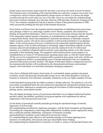Greater justice and economic improvement for the many is not always the result of social revolution. The Europeans' guns overwhelming of the American Indian bow-and-arrow weapons was in most ways a retrogressive social revolution implemented by design-science revolution. It is always the design revolution that tips the social scales one way or the other. However, sum totally the combined design and social revolutions ultimately favor the many. Between 1900 and today, 60 percent of humans in the U.S.A. have attained a standard of living far in advance of those of the greatest potentates of 1900 while concurrently doubling the life-span of that fortunate 60 percent.

Never before in all history have the inequities and the momentums of unthinking money-power been more glaringly evident to so vastly large a number of now literate, competent, and constructively thinking all-around-theworld humans. There's a soon-to-occur critical-mass moment when the intuition of the responsibly inspired majority of humanity, in contradistinction to the angered Luddites and avenging Robin Hoods, faced with comprehensive functional discontinuity of nationally contained techno-economic system, will call for and accomplish a world-around reorientation of our planetary affairs. At this critical moment will occur a realization by the responsibly inspired majority that the adequate capacity of the invisible technology to sustainingly support all humanity depends on all the resources, physical and metaphysical, being always and only employed for all of world-around humanity as a completely integrated techno-economic system operating entirely on its daily income principally of Sun-emanating energy. The integrated world-technoeconomic system purpose is in contradistinction to a union of 150 autonomously operating nation-states, as with the United Nations. All this can now be comprehensively commonwealth-accounted in time-energy work units. All this can provide regenerative-initiative accommodating access of human individuals to the ever multiplying commonwealth-techno-economic facilities. The degree of individual-initiative computerized access to the commonwealth facilities will be predicated on the demonstrated performance and sustained integrity of the individual's ever-forwardly-anticipatory designing competence.

I have been a deliberate half-century-fused inciter of a cool-headed, natural, gestation-rate-paced revolution, armed with physically demonstrable livingry levers with which altogether to elevate all humanity to realization of an inherently sustainable, satisfactory-to-all, ever higher standard of living.

Critical threshold-crossing of the inevitable revolution is already underway. The question is: Can it be successfully accomplished before the only-instinctively-operating fear and ignorance preclude success, by one individual, authorized or unauthorized, pushing the first button of chain-reacting all-buttonspushing, atomic, raceirradiated suicide?

The only happily promising recourse of each human individual is to our highest intellectual faculties and their mutual, ego-deflated, unselfishly loving preoccupation with comprehensivity and our employment of the most powerful tools of all:

(A) the family of generalized scientific principles governing the operational design of eternally regenerative Universe itself;

(B) comprehending and effectively employing synergetics, with the books Synergetics and Synergetics II presenting the comprehensive omni-image-able mathematical coordinate system employed by nature, thus avoiding the mentally debilitating, vastmajority-of-humanity-excluding

quasimathematical coordinate system employed by present-day science;

(C) comprehending the major objectives and operating strategies of the major opposing power structures of world politics, their present status quo and probable future trending;

(D) comprehending the fundamentals of economics, of wealth vs. money, of the principal features and